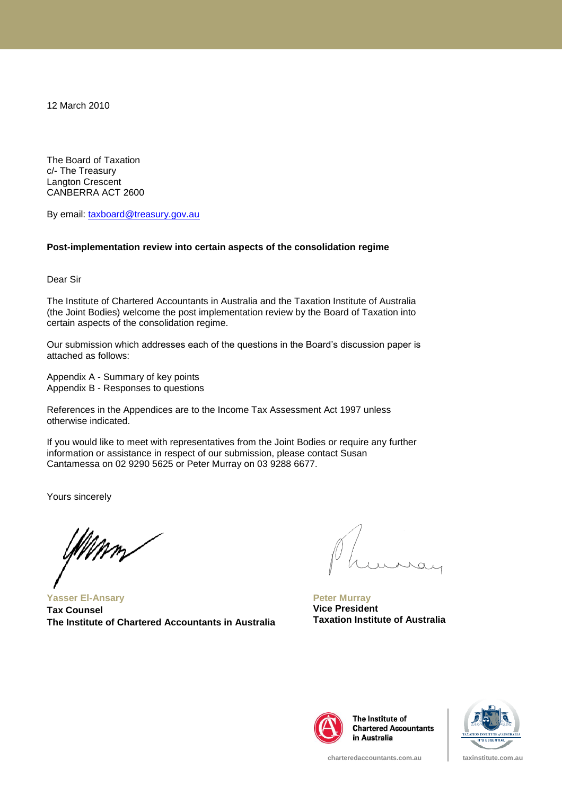12 March 2010

The Board of Taxation c/- The Treasury Langton Crescent CANBERRA ACT 2600

By email: [taxboard@treasury.gov.au](mailto:taxboard@treasury.gov.au)

#### **Post-implementation review into certain aspects of the consolidation regime**

Dear Sir

The Institute of Chartered Accountants in Australia and the Taxation Institute of Australia (the Joint Bodies) welcome the post implementation review by the Board of Taxation into certain aspects of the consolidation regime.

Our submission which addresses each of the questions in the Board"s discussion paper is attached as follows:

Appendix A - Summary of key points Appendix B - Responses to questions

References in the Appendices are to the Income Tax Assessment Act 1997 unless otherwise indicated.

If you would like to meet with representatives from the Joint Bodies or require any further information or assistance in respect of our submission, please contact Susan Cantamessa on 02 9290 5625 or Peter Murray on 03 9288 6677.

Yours sincerely

**Yasser El-Ansary Tax Counsel The Institute of Chartered Accountants in Australia**

**Peter Murray Vice President Taxation Institute of Australia**



The Institute of **Chartered Accountants** in Australia

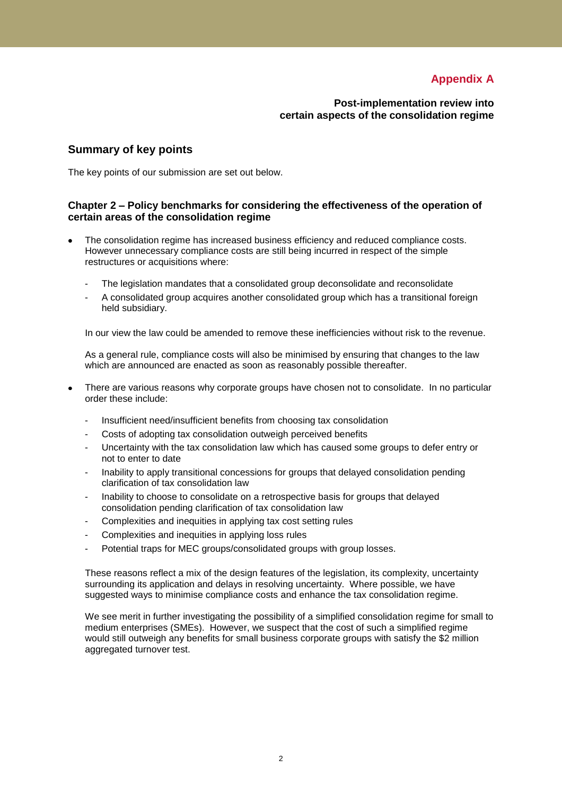# **Appendix A**

**Post-implementation review into certain aspects of the consolidation regime**

# **Summary of key points**

The key points of our submission are set out below.

## **Chapter 2 – Policy benchmarks for considering the effectiveness of the operation of certain areas of the consolidation regime**

- The consolidation regime has increased business efficiency and reduced compliance costs. However unnecessary compliance costs are still being incurred in respect of the simple restructures or acquisitions where:
	- The legislation mandates that a consolidated group deconsolidate and reconsolidate
	- A consolidated group acquires another consolidated group which has a transitional foreign held subsidiary.

In our view the law could be amended to remove these inefficiencies without risk to the revenue.

As a general rule, compliance costs will also be minimised by ensuring that changes to the law which are announced are enacted as soon as reasonably possible thereafter.

- There are various reasons why corporate groups have chosen not to consolidate. In no particular order these include:
	- Insufficient need/insufficient benefits from choosing tax consolidation
	- Costs of adopting tax consolidation outweigh perceived benefits
	- Uncertainty with the tax consolidation law which has caused some groups to defer entry or not to enter to date
	- Inability to apply transitional concessions for groups that delayed consolidation pending clarification of tax consolidation law
	- Inability to choose to consolidate on a retrospective basis for groups that delayed consolidation pending clarification of tax consolidation law
	- Complexities and inequities in applying tax cost setting rules
	- Complexities and inequities in applying loss rules
	- Potential traps for MEC groups/consolidated groups with group losses.

These reasons reflect a mix of the design features of the legislation, its complexity, uncertainty surrounding its application and delays in resolving uncertainty. Where possible, we have suggested ways to minimise compliance costs and enhance the tax consolidation regime.

We see merit in further investigating the possibility of a simplified consolidation regime for small to medium enterprises (SMEs). However, we suspect that the cost of such a simplified regime would still outweigh any benefits for small business corporate groups with satisfy the \$2 million aggregated turnover test.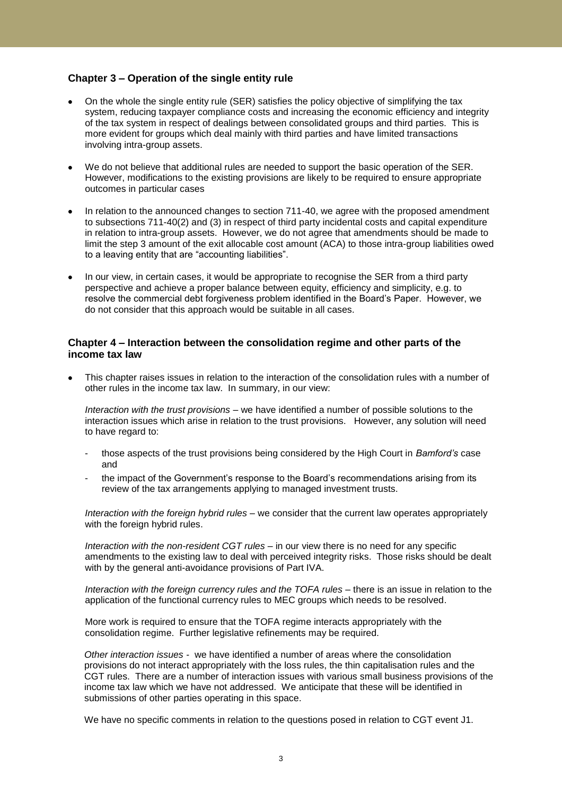## **Chapter 3 – Operation of the single entity rule**

- On the whole the single entity rule (SER) satisfies the policy objective of simplifying the tax system, reducing taxpayer compliance costs and increasing the economic efficiency and integrity of the tax system in respect of dealings between consolidated groups and third parties. This is more evident for groups which deal mainly with third parties and have limited transactions involving intra-group assets.
- We do not believe that additional rules are needed to support the basic operation of the SER. However, modifications to the existing provisions are likely to be required to ensure appropriate outcomes in particular cases
- In relation to the announced changes to section 711-40, we agree with the proposed amendment to subsections 711-40(2) and (3) in respect of third party incidental costs and capital expenditure in relation to intra-group assets. However, we do not agree that amendments should be made to limit the step 3 amount of the exit allocable cost amount (ACA) to those intra-group liabilities owed to a leaving entity that are "accounting liabilities".
- In our view, in certain cases, it would be appropriate to recognise the SER from a third party perspective and achieve a proper balance between equity, efficiency and simplicity, e.g. to resolve the commercial debt forgiveness problem identified in the Board"s Paper. However, we do not consider that this approach would be suitable in all cases.

## **Chapter 4 – Interaction between the consolidation regime and other parts of the income tax law**

This chapter raises issues in relation to the interaction of the consolidation rules with a number of other rules in the income tax law. In summary, in our view:

*Interaction with the trust provisions* – we have identified a number of possible solutions to the interaction issues which arise in relation to the trust provisions. However, any solution will need to have regard to:

- those aspects of the trust provisions being considered by the High Court in *Bamford's* case and
- the impact of the Government's response to the Board's recommendations arising from its review of the tax arrangements applying to managed investment trusts.

*Interaction with the foreign hybrid rules –* we consider that the current law operates appropriately with the foreign hybrid rules.

*Interaction with the non-resident CGT rules –* in our view there is no need for any specific amendments to the existing law to deal with perceived integrity risks. Those risks should be dealt with by the general anti-avoidance provisions of Part IVA.

*Interaction with the foreign currency rules and the TOFA rules –* there is an issue in relation to the application of the functional currency rules to MEC groups which needs to be resolved.

More work is required to ensure that the TOFA regime interacts appropriately with the consolidation regime. Further legislative refinements may be required.

*Other interaction issues -* we have identified a number of areas where the consolidation provisions do not interact appropriately with the loss rules, the thin capitalisation rules and the CGT rules. There are a number of interaction issues with various small business provisions of the income tax law which we have not addressed. We anticipate that these will be identified in submissions of other parties operating in this space.

We have no specific comments in relation to the questions posed in relation to CGT event J1.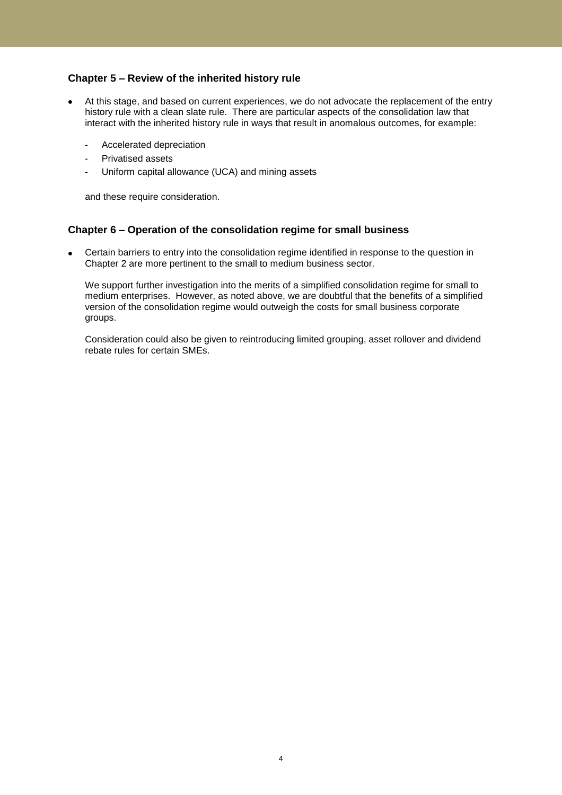## **Chapter 5 – Review of the inherited history rule**

- At this stage, and based on current experiences, we do not advocate the replacement of the entry history rule with a clean slate rule. There are particular aspects of the consolidation law that interact with the inherited history rule in ways that result in anomalous outcomes, for example:
	- Accelerated depreciation
	- Privatised assets
	- Uniform capital allowance (UCA) and mining assets

and these require consideration.

## **Chapter 6 – Operation of the consolidation regime for small business**

Certain barriers to entry into the consolidation regime identified in response to the question in Chapter 2 are more pertinent to the small to medium business sector.

We support further investigation into the merits of a simplified consolidation regime for small to medium enterprises. However, as noted above, we are doubtful that the benefits of a simplified version of the consolidation regime would outweigh the costs for small business corporate groups.

Consideration could also be given to reintroducing limited grouping, asset rollover and dividend rebate rules for certain SMEs.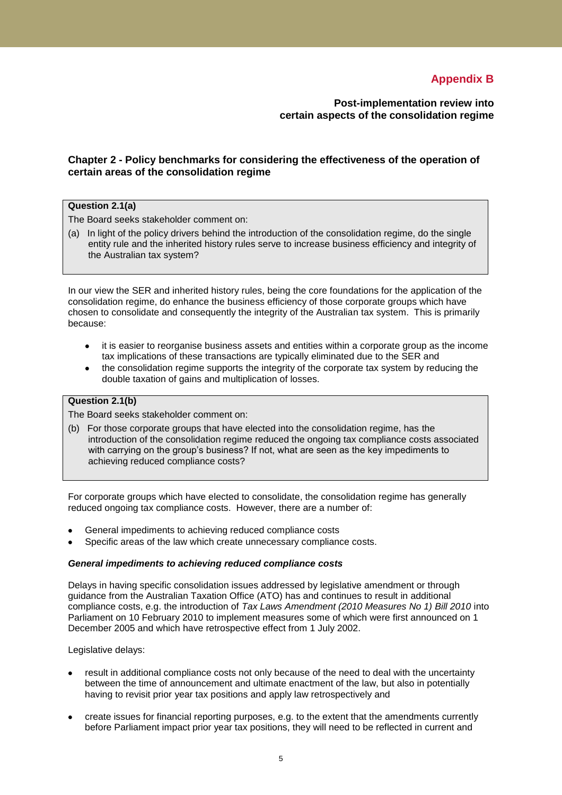# **Appendix B**

**Post-implementation review into certain aspects of the consolidation regime**

## **Chapter 2 - Policy benchmarks for considering the effectiveness of the operation of certain areas of the consolidation regime**

## **Question 2.1(a)**

The Board seeks stakeholder comment on:

(a) In light of the policy drivers behind the introduction of the consolidation regime, do the single entity rule and the inherited history rules serve to increase business efficiency and integrity of the Australian tax system?

In our view the SER and inherited history rules, being the core foundations for the application of the consolidation regime, do enhance the business efficiency of those corporate groups which have chosen to consolidate and consequently the integrity of the Australian tax system. This is primarily because:

- it is easier to reorganise business assets and entities within a corporate group as the income  $\bullet$ tax implications of these transactions are typically eliminated due to the SER and
- the consolidation regime supports the integrity of the corporate tax system by reducing the double taxation of gains and multiplication of losses.

## **Question 2.1(b)**

The Board seeks stakeholder comment on:

(b) For those corporate groups that have elected into the consolidation regime, has the introduction of the consolidation regime reduced the ongoing tax compliance costs associated with carrying on the group's business? If not, what are seen as the key impediments to achieving reduced compliance costs?

For corporate groups which have elected to consolidate, the consolidation regime has generally reduced ongoing tax compliance costs. However, there are a number of:

- General impediments to achieving reduced compliance costs
- Specific areas of the law which create unnecessary compliance costs.

#### *General impediments to achieving reduced compliance costs*

Delays in having specific consolidation issues addressed by legislative amendment or through guidance from the Australian Taxation Office (ATO) has and continues to result in additional compliance costs, e.g. the introduction of *Tax Laws Amendment (2010 Measures No 1) Bill 2010* into Parliament on 10 February 2010 to implement measures some of which were first announced on 1 December 2005 and which have retrospective effect from 1 July 2002.

Legislative delays:

- result in additional compliance costs not only because of the need to deal with the uncertainty between the time of announcement and ultimate enactment of the law, but also in potentially having to revisit prior year tax positions and apply law retrospectively and
- create issues for financial reporting purposes, e.g. to the extent that the amendments currently before Parliament impact prior year tax positions, they will need to be reflected in current and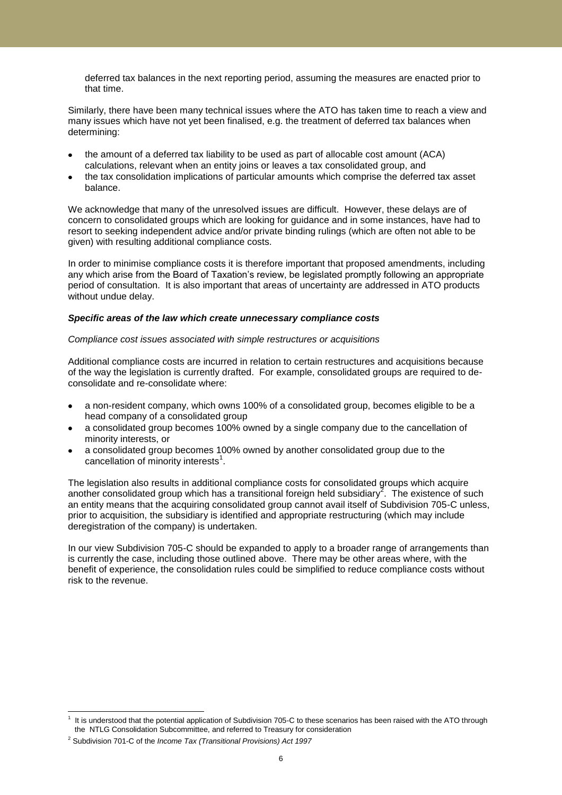deferred tax balances in the next reporting period, assuming the measures are enacted prior to that time.

Similarly, there have been many technical issues where the ATO has taken time to reach a view and many issues which have not yet been finalised, e.g. the treatment of deferred tax balances when determining:

- the amount of a deferred tax liability to be used as part of allocable cost amount (ACA) calculations, relevant when an entity joins or leaves a tax consolidated group, and
- the tax consolidation implications of particular amounts which comprise the deferred tax asset balance.

We acknowledge that many of the unresolved issues are difficult. However, these delays are of concern to consolidated groups which are looking for guidance and in some instances, have had to resort to seeking independent advice and/or private binding rulings (which are often not able to be given) with resulting additional compliance costs.

In order to minimise compliance costs it is therefore important that proposed amendments, including any which arise from the Board of Taxation's review, be legislated promptly following an appropriate period of consultation. It is also important that areas of uncertainty are addressed in ATO products without undue delay.

#### *Specific areas of the law which create unnecessary compliance costs*

#### *Compliance cost issues associated with simple restructures or acquisitions*

Additional compliance costs are incurred in relation to certain restructures and acquisitions because of the way the legislation is currently drafted. For example, consolidated groups are required to deconsolidate and re-consolidate where:

- a non-resident company, which owns 100% of a consolidated group, becomes eligible to be a head company of a consolidated group
- a consolidated group becomes 100% owned by a single company due to the cancellation of minority interests, or
- a consolidated group becomes 100% owned by another consolidated group due to the cancellation of minority interests $^1$ .

The legislation also results in additional compliance costs for consolidated groups which acquire another consolidated group which has a transitional foreign held subsidiary<sup>2</sup>. The existence of such an entity means that the acquiring consolidated group cannot avail itself of Subdivision 705-C unless, prior to acquisition, the subsidiary is identified and appropriate restructuring (which may include deregistration of the company) is undertaken.

In our view Subdivision 705-C should be expanded to apply to a broader range of arrangements than is currently the case, including those outlined above. There may be other areas where, with the benefit of experience, the consolidation rules could be simplified to reduce compliance costs without risk to the revenue.

 $\overline{a}$ 

<sup>1</sup> It is understood that the potential application of Subdivision 705-C to these scenarios has been raised with the ATO through the NTLG Consolidation Subcommittee, and referred to Treasury for consideration

<sup>2</sup> Subdivision 701-C of the *Income Tax (Transitional Provisions) Act 1997*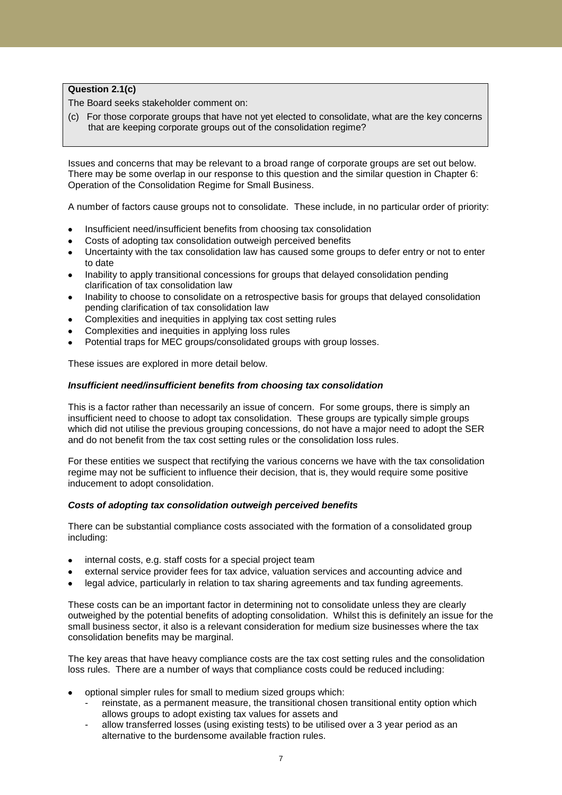## **Question 2.1(c)**

The Board seeks stakeholder comment on:

(c) For those corporate groups that have not yet elected to consolidate, what are the key concerns that are keeping corporate groups out of the consolidation regime?

Issues and concerns that may be relevant to a broad range of corporate groups are set out below. There may be some overlap in our response to this question and the similar question in Chapter 6: Operation of the Consolidation Regime for Small Business.

A number of factors cause groups not to consolidate. These include, in no particular order of priority:

- Insufficient need/insufficient benefits from choosing tax consolidation
- Costs of adopting tax consolidation outweigh perceived benefits
- Uncertainty with the tax consolidation law has caused some groups to defer entry or not to enter to date
- Inability to apply transitional concessions for groups that delayed consolidation pending clarification of tax consolidation law
- Inability to choose to consolidate on a retrospective basis for groups that delayed consolidation pending clarification of tax consolidation law
- Complexities and inequities in applying tax cost setting rules
- Complexities and inequities in applying loss rules
- Potential traps for MEC groups/consolidated groups with group losses.

These issues are explored in more detail below.

### *Insufficient need/insufficient benefits from choosing tax consolidation*

This is a factor rather than necessarily an issue of concern. For some groups, there is simply an insufficient need to choose to adopt tax consolidation. These groups are typically simple groups which did not utilise the previous grouping concessions, do not have a major need to adopt the SER and do not benefit from the tax cost setting rules or the consolidation loss rules.

For these entities we suspect that rectifying the various concerns we have with the tax consolidation regime may not be sufficient to influence their decision, that is, they would require some positive inducement to adopt consolidation.

#### *Costs of adopting tax consolidation outweigh perceived benefits*

There can be substantial compliance costs associated with the formation of a consolidated group including:

- internal costs, e.g. staff costs for a special project team
- external service provider fees for tax advice, valuation services and accounting advice and
- legal advice, particularly in relation to tax sharing agreements and tax funding agreements.

These costs can be an important factor in determining not to consolidate unless they are clearly outweighed by the potential benefits of adopting consolidation. Whilst this is definitely an issue for the small business sector, it also is a relevant consideration for medium size businesses where the tax consolidation benefits may be marginal.

The key areas that have heavy compliance costs are the tax cost setting rules and the consolidation loss rules. There are a number of ways that compliance costs could be reduced including:

- optional simpler rules for small to medium sized groups which:
	- reinstate, as a permanent measure, the transitional chosen transitional entity option which allows groups to adopt existing tax values for assets and
	- allow transferred losses (using existing tests) to be utilised over a 3 year period as an alternative to the burdensome available fraction rules.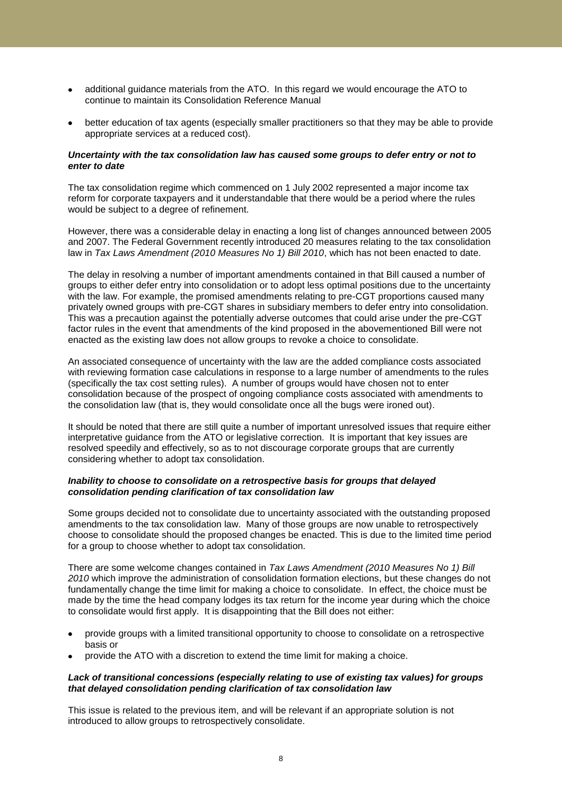- additional guidance materials from the ATO. In this regard we would encourage the ATO to continue to maintain its Consolidation Reference Manual
- better education of tax agents (especially smaller practitioners so that they may be able to provide appropriate services at a reduced cost).

#### *Uncertainty with the tax consolidation law has caused some groups to defer entry or not to enter to date*

The tax consolidation regime which commenced on 1 July 2002 represented a major income tax reform for corporate taxpayers and it understandable that there would be a period where the rules would be subject to a degree of refinement.

However, there was a considerable delay in enacting a long list of changes announced between 2005 and 2007. The Federal Government recently introduced 20 measures relating to the tax consolidation law in *Tax Laws Amendment (2010 Measures No 1) Bill 2010*, which has not been enacted to date.

The delay in resolving a number of important amendments contained in that Bill caused a number of groups to either defer entry into consolidation or to adopt less optimal positions due to the uncertainty with the law. For example, the promised amendments relating to pre-CGT proportions caused many privately owned groups with pre-CGT shares in subsidiary members to defer entry into consolidation. This was a precaution against the potentially adverse outcomes that could arise under the pre-CGT factor rules in the event that amendments of the kind proposed in the abovementioned Bill were not enacted as the existing law does not allow groups to revoke a choice to consolidate.

An associated consequence of uncertainty with the law are the added compliance costs associated with reviewing formation case calculations in response to a large number of amendments to the rules (specifically the tax cost setting rules). A number of groups would have chosen not to enter consolidation because of the prospect of ongoing compliance costs associated with amendments to the consolidation law (that is, they would consolidate once all the bugs were ironed out).

It should be noted that there are still quite a number of important unresolved issues that require either interpretative guidance from the ATO or legislative correction. It is important that key issues are resolved speedily and effectively, so as to not discourage corporate groups that are currently considering whether to adopt tax consolidation.

#### *Inability to choose to consolidate on a retrospective basis for groups that delayed consolidation pending clarification of tax consolidation law*

Some groups decided not to consolidate due to uncertainty associated with the outstanding proposed amendments to the tax consolidation law. Many of those groups are now unable to retrospectively choose to consolidate should the proposed changes be enacted. This is due to the limited time period for a group to choose whether to adopt tax consolidation.

There are some welcome changes contained in *Tax Laws Amendment (2010 Measures No 1) Bill 2010* which improve the administration of consolidation formation elections, but these changes do not fundamentally change the time limit for making a choice to consolidate. In effect, the choice must be made by the time the head company lodges its tax return for the income year during which the choice to consolidate would first apply. It is disappointing that the Bill does not either:

- provide groups with a limited transitional opportunity to choose to consolidate on a retrospective basis or
- provide the ATO with a discretion to extend the time limit for making a choice.

#### *Lack of transitional concessions (especially relating to use of existing tax values) for groups that delayed consolidation pending clarification of tax consolidation law*

This issue is related to the previous item, and will be relevant if an appropriate solution is not introduced to allow groups to retrospectively consolidate.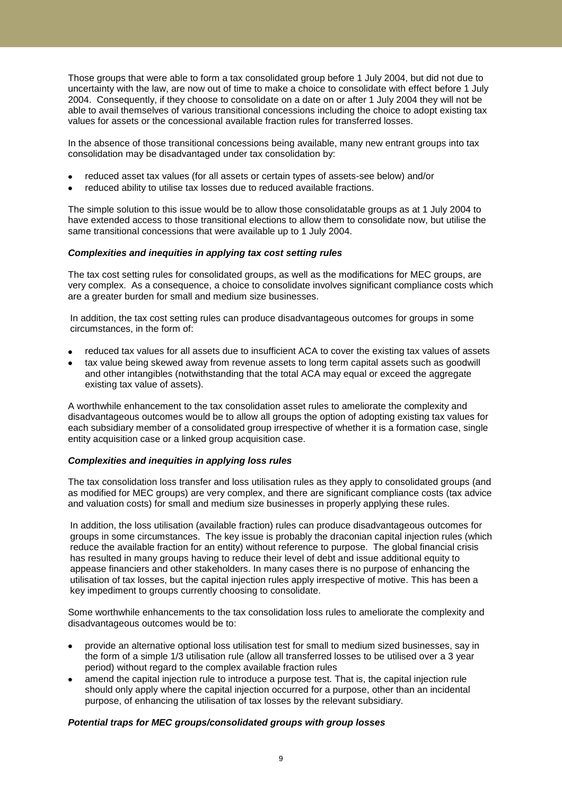Those groups that were able to form a tax consolidated group before 1 July 2004, but did not due to uncertainty with the law, are now out of time to make a choice to consolidate with effect before 1 July 2004. Consequently, if they choose to consolidate on a date on or after 1 July 2004 they will not be able to avail themselves of various transitional concessions including the choice to adopt existing tax values for assets or the concessional available fraction rules for transferred losses.

In the absence of those transitional concessions being available, many new entrant groups into tax consolidation may be disadvantaged under tax consolidation by:

- reduced asset tax values (for all assets or certain types of assets-see below) and/or
- reduced ability to utilise tax losses due to reduced available fractions.

The simple solution to this issue would be to allow those consolidatable groups as at 1 July 2004 to have extended access to those transitional elections to allow them to consolidate now, but utilise the same transitional concessions that were available up to 1 July 2004.

### *Complexities and inequities in applying tax cost setting rules*

The tax cost setting rules for consolidated groups, as well as the modifications for MEC groups, are very complex. As a consequence, a choice to consolidate involves significant compliance costs which are a greater burden for small and medium size businesses.

In addition, the tax cost setting rules can produce disadvantageous outcomes for groups in some circumstances, in the form of:

- reduced tax values for all assets due to insufficient ACA to cover the existing tax values of assets
- tax value being skewed away from revenue assets to long term capital assets such as goodwill and other intangibles (notwithstanding that the total ACA may equal or exceed the aggregate existing tax value of assets).

A worthwhile enhancement to the tax consolidation asset rules to ameliorate the complexity and disadvantageous outcomes would be to allow all groups the option of adopting existing tax values for each subsidiary member of a consolidated group irrespective of whether it is a formation case, single entity acquisition case or a linked group acquisition case.

## *Complexities and inequities in applying loss rules*

The tax consolidation loss transfer and loss utilisation rules as they apply to consolidated groups (and as modified for MEC groups) are very complex, and there are significant compliance costs (tax advice and valuation costs) for small and medium size businesses in properly applying these rules.

In addition, the loss utilisation (available fraction) rules can produce disadvantageous outcomes for groups in some circumstances. The key issue is probably the draconian capital injection rules (which reduce the available fraction for an entity) without reference to purpose. The global financial crisis has resulted in many groups having to reduce their level of debt and issue additional equity to appease financiers and other stakeholders. In many cases there is no purpose of enhancing the utilisation of tax losses, but the capital injection rules apply irrespective of motive. This has been a key impediment to groups currently choosing to consolidate.

Some worthwhile enhancements to the tax consolidation loss rules to ameliorate the complexity and disadvantageous outcomes would be to:

- provide an alternative optional loss utilisation test for small to medium sized businesses, say in the form of a simple 1/3 utilisation rule (allow all transferred losses to be utilised over a 3 year period) without regard to the complex available fraction rules
- amend the capital injection rule to introduce a purpose test. That is, the capital injection rule should only apply where the capital injection occurred for a purpose, other than an incidental purpose, of enhancing the utilisation of tax losses by the relevant subsidiary.

## *Potential traps for MEC groups/consolidated groups with group losses*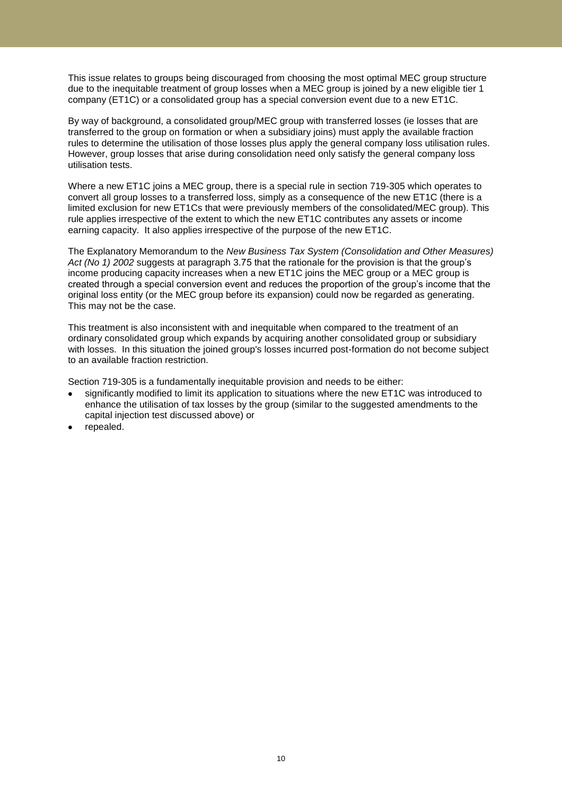This issue relates to groups being discouraged from choosing the most optimal MEC group structure due to the inequitable treatment of group losses when a MEC group is joined by a new eligible tier 1 company (ET1C) or a consolidated group has a special conversion event due to a new ET1C.

By way of background, a consolidated group/MEC group with transferred losses (ie losses that are transferred to the group on formation or when a subsidiary joins) must apply the available fraction rules to determine the utilisation of those losses plus apply the general company loss utilisation rules. However, group losses that arise during consolidation need only satisfy the general company loss utilisation tests.

Where a new ET1C joins a MEC group, there is a special rule in section 719-305 which operates to convert all group losses to a transferred loss, simply as a consequence of the new ET1C (there is a limited exclusion for new ET1Cs that were previously members of the consolidated/MEC group). This rule applies irrespective of the extent to which the new ET1C contributes any assets or income earning capacity. It also applies irrespective of the purpose of the new ET1C.

The Explanatory Memorandum to the *New Business Tax System (Consolidation and Other Measures) Act (No 1) 2002* suggests at paragraph 3.75 that the rationale for the provision is that the group"s income producing capacity increases when a new ET1C joins the MEC group or a MEC group is created through a special conversion event and reduces the proportion of the group"s income that the original loss entity (or the MEC group before its expansion) could now be regarded as generating. This may not be the case.

This treatment is also inconsistent with and inequitable when compared to the treatment of an ordinary consolidated group which expands by acquiring another consolidated group or subsidiary with losses. In this situation the joined group's losses incurred post-formation do not become subject to an available fraction restriction.

Section 719-305 is a fundamentally inequitable provision and needs to be either:

- significantly modified to limit its application to situations where the new ET1C was introduced to enhance the utilisation of tax losses by the group (similar to the suggested amendments to the capital injection test discussed above) or
- repealed.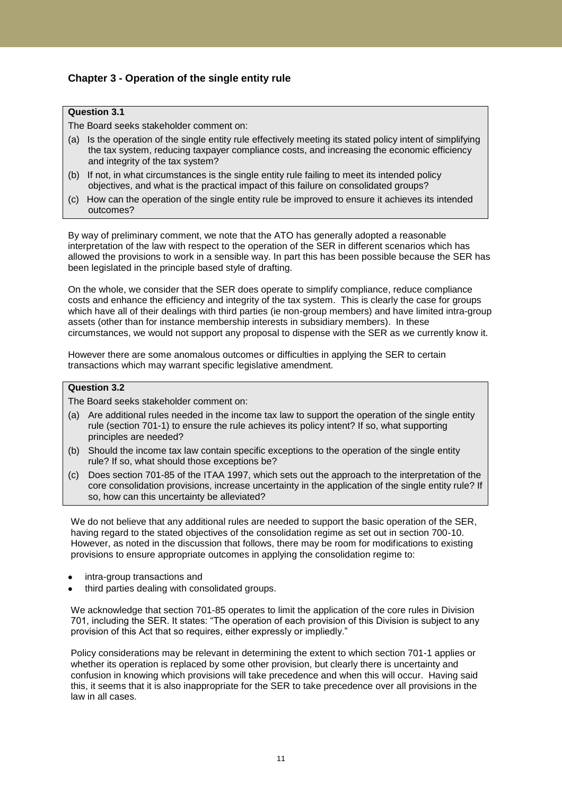## **Chapter 3 - Operation of the single entity rule**

## **Question 3.1**

The Board seeks stakeholder comment on:

- (a) Is the operation of the single entity rule effectively meeting its stated policy intent of simplifying the tax system, reducing taxpayer compliance costs, and increasing the economic efficiency and integrity of the tax system?
- (b) If not, in what circumstances is the single entity rule failing to meet its intended policy objectives, and what is the practical impact of this failure on consolidated groups?
- (c) How can the operation of the single entity rule be improved to ensure it achieves its intended outcomes?

By way of preliminary comment, we note that the ATO has generally adopted a reasonable interpretation of the law with respect to the operation of the SER in different scenarios which has allowed the provisions to work in a sensible way. In part this has been possible because the SER has been legislated in the principle based style of drafting.

On the whole, we consider that the SER does operate to simplify compliance, reduce compliance costs and enhance the efficiency and integrity of the tax system. This is clearly the case for groups which have all of their dealings with third parties (ie non-group members) and have limited intra-group assets (other than for instance membership interests in subsidiary members). In these circumstances, we would not support any proposal to dispense with the SER as we currently know it.

However there are some anomalous outcomes or difficulties in applying the SER to certain transactions which may warrant specific legislative amendment.

## **Question 3.2**

The Board seeks stakeholder comment on:

- (a) Are additional rules needed in the income tax law to support the operation of the single entity rule (section 701-1) to ensure the rule achieves its policy intent? If so, what supporting principles are needed?
- (b) Should the income tax law contain specific exceptions to the operation of the single entity rule? If so, what should those exceptions be?
- (c) Does section 701-85 of the ITAA 1997, which sets out the approach to the interpretation of the core consolidation provisions, increase uncertainty in the application of the single entity rule? If so, how can this uncertainty be alleviated?

We do not believe that any additional rules are needed to support the basic operation of the SER, having regard to the stated objectives of the consolidation regime as set out in section 700-10. However, as noted in the discussion that follows, there may be room for modifications to existing provisions to ensure appropriate outcomes in applying the consolidation regime to:

- intra-group transactions and
- third parties dealing with consolidated groups.

We acknowledge that section 701-85 operates to limit the application of the core rules in Division 701, including the SER. It states: "The operation of each provision of this Division is subject to any provision of this Act that so requires, either expressly or impliedly."

Policy considerations may be relevant in determining the extent to which section 701-1 applies or whether its operation is replaced by some other provision, but clearly there is uncertainty and confusion in knowing which provisions will take precedence and when this will occur. Having said this, it seems that it is also inappropriate for the SER to take precedence over all provisions in the law in all cases.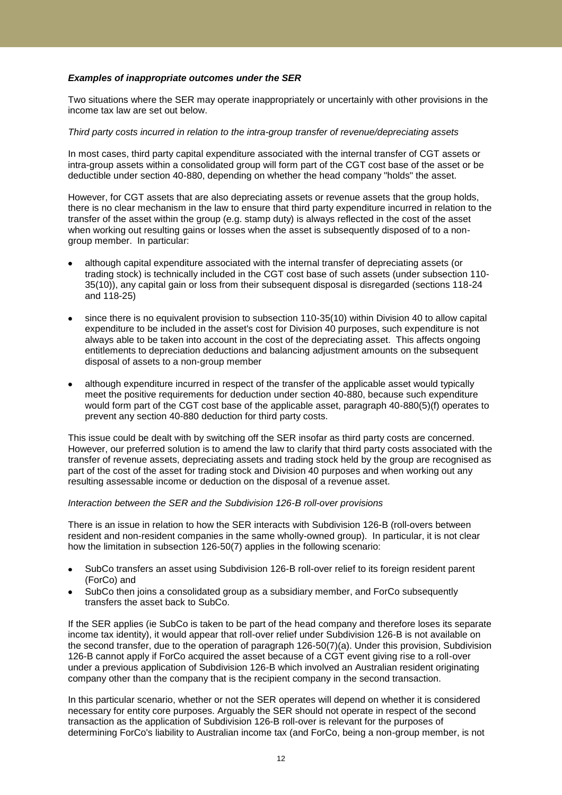### *Examples of inappropriate outcomes under the SER*

Two situations where the SER may operate inappropriately or uncertainly with other provisions in the income tax law are set out below.

#### *Third party costs incurred in relation to the intra-group transfer of revenue/depreciating assets*

In most cases, third party capital expenditure associated with the internal transfer of CGT assets or intra-group assets within a consolidated group will form part of the CGT cost base of the asset or be deductible under section 40-880, depending on whether the head company "holds" the asset.

However, for CGT assets that are also depreciating assets or revenue assets that the group holds, there is no clear mechanism in the law to ensure that third party expenditure incurred in relation to the transfer of the asset within the group (e.g. stamp duty) is always reflected in the cost of the asset when working out resulting gains or losses when the asset is subsequently disposed of to a nongroup member. In particular:

- although capital expenditure associated with the internal transfer of depreciating assets (or trading stock) is technically included in the CGT cost base of such assets (under subsection 110- 35(10)), any capital gain or loss from their subsequent disposal is disregarded (sections 118-24 and 118-25)
- since there is no equivalent provision to subsection 110-35(10) within Division 40 to allow capital expenditure to be included in the asset's cost for Division 40 purposes, such expenditure is not always able to be taken into account in the cost of the depreciating asset. This affects ongoing entitlements to depreciation deductions and balancing adjustment amounts on the subsequent disposal of assets to a non-group member
- although expenditure incurred in respect of the transfer of the applicable asset would typically meet the positive requirements for deduction under section 40-880, because such expenditure would form part of the CGT cost base of the applicable asset, paragraph 40-880(5)(f) operates to prevent any section 40-880 deduction for third party costs.

This issue could be dealt with by switching off the SER insofar as third party costs are concerned. However, our preferred solution is to amend the law to clarify that third party costs associated with the transfer of revenue assets, depreciating assets and trading stock held by the group are recognised as part of the cost of the asset for trading stock and Division 40 purposes and when working out any resulting assessable income or deduction on the disposal of a revenue asset.

#### *Interaction between the SER and the Subdivision 126-B roll-over provisions*

There is an issue in relation to how the SER interacts with Subdivision 126-B (roll-overs between resident and non-resident companies in the same wholly-owned group). In particular, it is not clear how the limitation in subsection 126-50(7) applies in the following scenario:

- SubCo transfers an asset using Subdivision 126-B roll-over relief to its foreign resident parent (ForCo) and
- SubCo then joins a consolidated group as a subsidiary member, and ForCo subsequently transfers the asset back to SubCo.

If the SER applies (ie SubCo is taken to be part of the head company and therefore loses its separate income tax identity), it would appear that roll-over relief under Subdivision 126-B is not available on the second transfer, due to the operation of paragraph 126-50(7)(a). Under this provision, Subdivision 126-B cannot apply if ForCo acquired the asset because of a CGT event giving rise to a roll-over under a previous application of Subdivision 126-B which involved an Australian resident originating company other than the company that is the recipient company in the second transaction.

In this particular scenario, whether or not the SER operates will depend on whether it is considered necessary for entity core purposes. Arguably the SER should not operate in respect of the second transaction as the application of Subdivision 126-B roll-over is relevant for the purposes of determining ForCo's liability to Australian income tax (and ForCo, being a non-group member, is not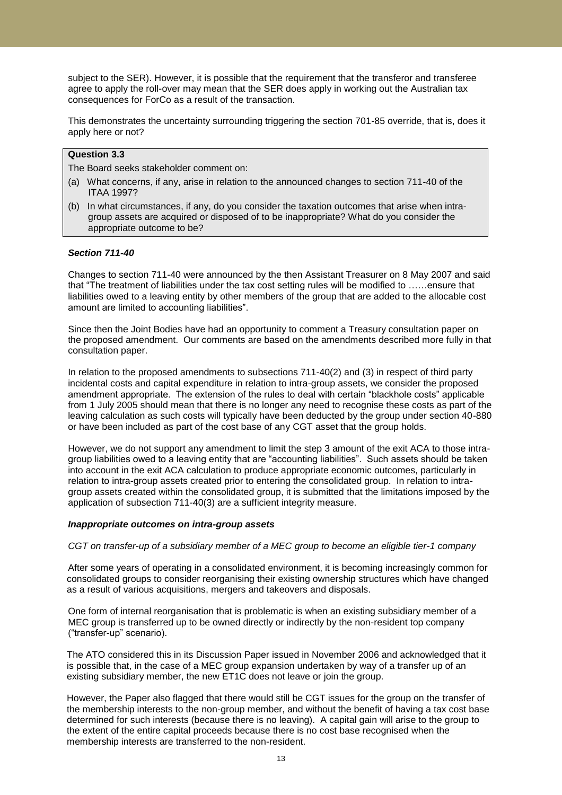subject to the SER). However, it is possible that the requirement that the transferor and transferee agree to apply the roll-over may mean that the SER does apply in working out the Australian tax consequences for ForCo as a result of the transaction.

This demonstrates the uncertainty surrounding triggering the section 701-85 override, that is, does it apply here or not?

### **Question 3.3**

The Board seeks stakeholder comment on:

- (a) What concerns, if any, arise in relation to the announced changes to section 711-40 of the ITAA 1997?
- (b) In what circumstances, if any, do you consider the taxation outcomes that arise when intragroup assets are acquired or disposed of to be inappropriate? What do you consider the appropriate outcome to be?

#### *Section 711-40*

Changes to section 711-40 were announced by the then Assistant Treasurer on 8 May 2007 and said that "The treatment of liabilities under the tax cost setting rules will be modified to ……ensure that liabilities owed to a leaving entity by other members of the group that are added to the allocable cost amount are limited to accounting liabilities".

Since then the Joint Bodies have had an opportunity to comment a Treasury consultation paper on the proposed amendment. Our comments are based on the amendments described more fully in that consultation paper.

In relation to the proposed amendments to subsections 711-40(2) and (3) in respect of third party incidental costs and capital expenditure in relation to intra-group assets, we consider the proposed amendment appropriate. The extension of the rules to deal with certain "blackhole costs" applicable from 1 July 2005 should mean that there is no longer any need to recognise these costs as part of the leaving calculation as such costs will typically have been deducted by the group under section 40-880 or have been included as part of the cost base of any CGT asset that the group holds.

However, we do not support any amendment to limit the step 3 amount of the exit ACA to those intragroup liabilities owed to a leaving entity that are "accounting liabilities". Such assets should be taken into account in the exit ACA calculation to produce appropriate economic outcomes, particularly in relation to intra-group assets created prior to entering the consolidated group. In relation to intragroup assets created within the consolidated group, it is submitted that the limitations imposed by the application of subsection 711-40(3) are a sufficient integrity measure.

#### *Inappropriate outcomes on intra-group assets*

*CGT on transfer-up of a subsidiary member of a MEC group to become an eligible tier-1 company* 

After some years of operating in a consolidated environment, it is becoming increasingly common for consolidated groups to consider reorganising their existing ownership structures which have changed as a result of various acquisitions, mergers and takeovers and disposals.

One form of internal reorganisation that is problematic is when an existing subsidiary member of a MEC group is transferred up to be owned directly or indirectly by the non-resident top company ("transfer-up" scenario).

The ATO considered this in its Discussion Paper issued in November 2006 and acknowledged that it is possible that, in the case of a MEC group expansion undertaken by way of a transfer up of an existing subsidiary member, the new ET1C does not leave or join the group.

However, the Paper also flagged that there would still be CGT issues for the group on the transfer of the membership interests to the non-group member, and without the benefit of having a tax cost base determined for such interests (because there is no leaving). A capital gain will arise to the group to the extent of the entire capital proceeds because there is no cost base recognised when the membership interests are transferred to the non-resident.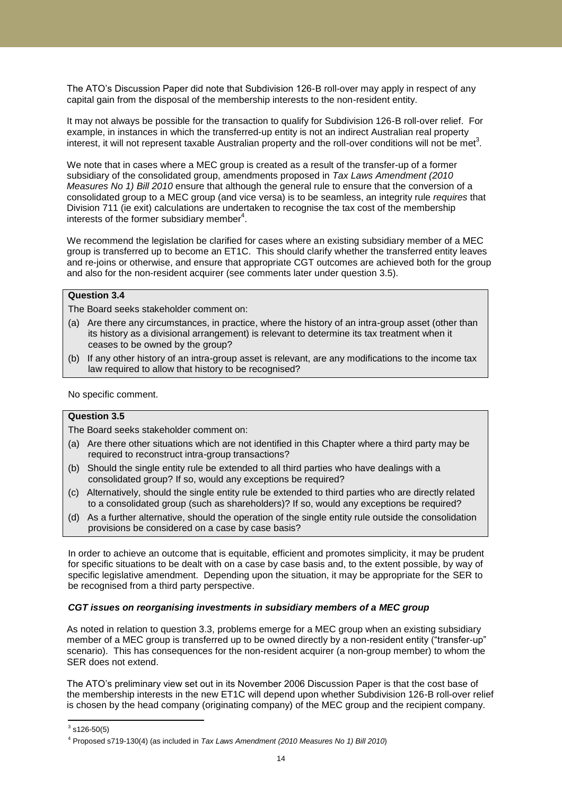The ATO"s Discussion Paper did note that Subdivision 126-B roll-over may apply in respect of any capital gain from the disposal of the membership interests to the non-resident entity.

It may not always be possible for the transaction to qualify for Subdivision 126-B roll-over relief. For example, in instances in which the transferred-up entity is not an indirect Australian real property interest, it will not represent taxable Australian property and the roll-over conditions will not be met<sup>3</sup>.

We note that in cases where a MEC group is created as a result of the transfer-up of a former subsidiary of the consolidated group, amendments proposed in *Tax Laws Amendment (2010 Measures No 1) Bill 2010* ensure that although the general rule to ensure that the conversion of a consolidated group to a MEC group (and vice versa) is to be seamless, an integrity rule *requires* that Division 711 (ie exit) calculations are undertaken to recognise the tax cost of the membership interests of the former subsidiary member<sup>4</sup>.

We recommend the legislation be clarified for cases where an existing subsidiary member of a MEC group is transferred up to become an ET1C. This should clarify whether the transferred entity leaves and re-joins or otherwise, and ensure that appropriate CGT outcomes are achieved both for the group and also for the non-resident acquirer (see comments later under question 3.5).

## **Question 3.4**

The Board seeks stakeholder comment on:

- (a) Are there any circumstances, in practice, where the history of an intra-group asset (other than its history as a divisional arrangement) is relevant to determine its tax treatment when it ceases to be owned by the group?
- (b) If any other history of an intra-group asset is relevant, are any modifications to the income tax law required to allow that history to be recognised?

No specific comment.

### **Question 3.5**

The Board seeks stakeholder comment on:

- (a) Are there other situations which are not identified in this Chapter where a third party may be required to reconstruct intra-group transactions?
- (b) Should the single entity rule be extended to all third parties who have dealings with a consolidated group? If so, would any exceptions be required?
- (c) Alternatively, should the single entity rule be extended to third parties who are directly related to a consolidated group (such as shareholders)? If so, would any exceptions be required?
- (d) As a further alternative, should the operation of the single entity rule outside the consolidation provisions be considered on a case by case basis?

In order to achieve an outcome that is equitable, efficient and promotes simplicity, it may be prudent for specific situations to be dealt with on a case by case basis and, to the extent possible, by way of specific legislative amendment. Depending upon the situation, it may be appropriate for the SER to be recognised from a third party perspective.

#### *CGT issues on reorganising investments in subsidiary members of a MEC group*

As noted in relation to question 3.3, problems emerge for a MEC group when an existing subsidiary member of a MEC group is transferred up to be owned directly by a non-resident entity ("transfer-up" scenario). This has consequences for the non-resident acquirer (a non-group member) to whom the SER does not extend.

The ATO"s preliminary view set out in its November 2006 Discussion Paper is that the cost base of the membership interests in the new ET1C will depend upon whether Subdivision 126-B roll-over relief is chosen by the head company (originating company) of the MEC group and the recipient company.

 $\frac{3}{3}$ s126-50(5)

<sup>4</sup> Proposed s719-130(4) (as included in *Tax Laws Amendment (2010 Measures No 1) Bill 2010*)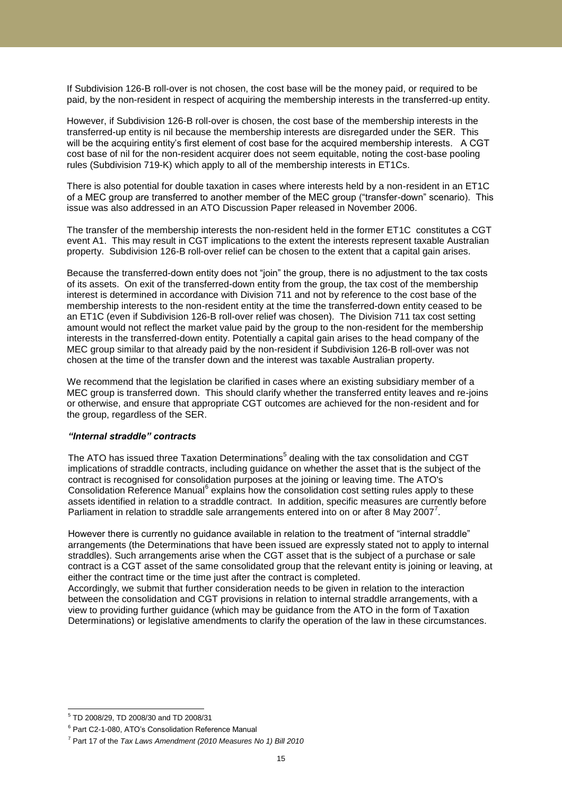If Subdivision 126-B roll-over is not chosen, the cost base will be the money paid, or required to be paid, by the non-resident in respect of acquiring the membership interests in the transferred-up entity.

However, if Subdivision 126-B roll-over is chosen, the cost base of the membership interests in the transferred-up entity is nil because the membership interests are disregarded under the SER. This will be the acquiring entity's first element of cost base for the acquired membership interests. A CGT cost base of nil for the non-resident acquirer does not seem equitable, noting the cost-base pooling rules (Subdivision 719-K) which apply to all of the membership interests in ET1Cs.

There is also potential for double taxation in cases where interests held by a non-resident in an ET1C of a MEC group are transferred to another member of the MEC group ("transfer-down" scenario). This issue was also addressed in an ATO Discussion Paper released in November 2006.

The transfer of the membership interests the non-resident held in the former ET1C constitutes a CGT event A1. This may result in CGT implications to the extent the interests represent taxable Australian property. Subdivision 126-B roll-over relief can be chosen to the extent that a capital gain arises.

Because the transferred-down entity does not "join" the group, there is no adjustment to the tax costs of its assets. On exit of the transferred-down entity from the group, the tax cost of the membership interest is determined in accordance with Division 711 and not by reference to the cost base of the membership interests to the non-resident entity at the time the transferred-down entity ceased to be an ET1C (even if Subdivision 126-B roll-over relief was chosen). The Division 711 tax cost setting amount would not reflect the market value paid by the group to the non-resident for the membership interests in the transferred-down entity. Potentially a capital gain arises to the head company of the MEC group similar to that already paid by the non-resident if Subdivision 126-B roll-over was not chosen at the time of the transfer down and the interest was taxable Australian property.

We recommend that the legislation be clarified in cases where an existing subsidiary member of a MEC group is transferred down. This should clarify whether the transferred entity leaves and re-joins or otherwise, and ensure that appropriate CGT outcomes are achieved for the non-resident and for the group, regardless of the SER.

### *"Internal straddle" contracts*

The ATO has issued three Taxation Determinations<sup>5</sup> dealing with the tax consolidation and CGT implications of straddle contracts, including guidance on whether the asset that is the subject of the contract is recognised for consolidation purposes at the joining or leaving time. The ATO's Consolidation Reference Manual<sup>6</sup> explains how the consolidation cost setting rules apply to these assets identified in relation to a straddle contract. In addition, specific measures are currently before Parliament in relation to straddle sale arrangements entered into on or after 8 May 2007<sup>7</sup>.

However there is currently no guidance available in relation to the treatment of "internal straddle" arrangements (the Determinations that have been issued are expressly stated not to apply to internal straddles). Such arrangements arise when the CGT asset that is the subject of a purchase or sale contract is a CGT asset of the same consolidated group that the relevant entity is joining or leaving, at either the contract time or the time just after the contract is completed.

Accordingly, we submit that further consideration needs to be given in relation to the interaction between the consolidation and CGT provisions in relation to internal straddle arrangements, with a view to providing further guidance (which may be guidance from the ATO in the form of Taxation Determinations) or legislative amendments to clarify the operation of the law in these circumstances.

 5 TD 2008/29, TD 2008/30 and TD 2008/31

<sup>&</sup>lt;sup>6</sup> Part C2-1-080, ATO's Consolidation Reference Manual

<sup>7</sup> Part 17 of the *Tax Laws Amendment (2010 Measures No 1) Bill 2010*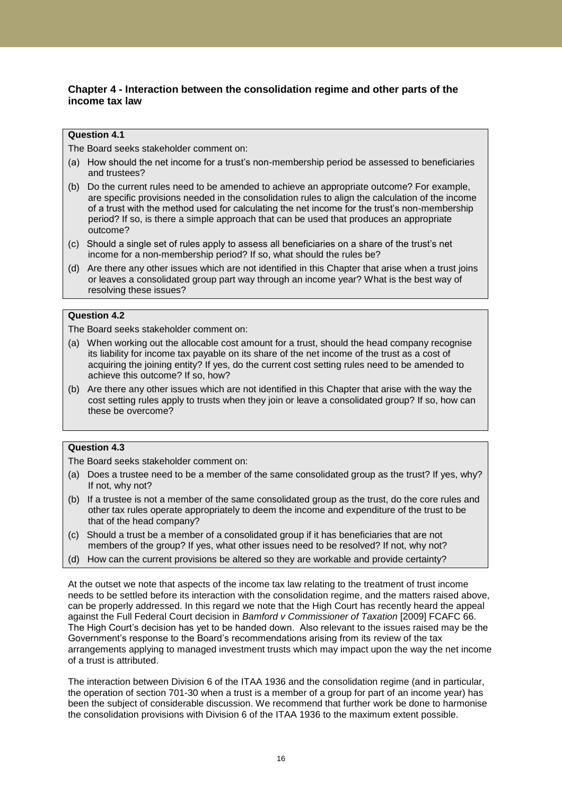## **Chapter 4 - Interaction between the consolidation regime and other parts of the income tax law**

### **Question 4.1**

The Board seeks stakeholder comment on:

- (a) How should the net income for a trust"s non-membership period be assessed to beneficiaries and trustees?
- (b) Do the current rules need to be amended to achieve an appropriate outcome? For example, are specific provisions needed in the consolidation rules to align the calculation of the income of a trust with the method used for calculating the net income for the trust's non-membership period? If so, is there a simple approach that can be used that produces an appropriate outcome?
- (c) Should a single set of rules apply to assess all beneficiaries on a share of the trust"s net income for a non-membership period? If so, what should the rules be?
- (d) Are there any other issues which are not identified in this Chapter that arise when a trust joins or leaves a consolidated group part way through an income year? What is the best way of resolving these issues?

## **Question 4.2**

The Board seeks stakeholder comment on:

- (a) When working out the allocable cost amount for a trust, should the head company recognise its liability for income tax payable on its share of the net income of the trust as a cost of acquiring the joining entity? If yes, do the current cost setting rules need to be amended to achieve this outcome? If so, how?
- (b) Are there any other issues which are not identified in this Chapter that arise with the way the cost setting rules apply to trusts when they join or leave a consolidated group? If so, how can these be overcome?

## **Question 4.3**

The Board seeks stakeholder comment on:

- (a) Does a trustee need to be a member of the same consolidated group as the trust? If yes, why? If not, why not?
- (b) If a trustee is not a member of the same consolidated group as the trust, do the core rules and other tax rules operate appropriately to deem the income and expenditure of the trust to be that of the head company?
- (c) Should a trust be a member of a consolidated group if it has beneficiaries that are not members of the group? If yes, what other issues need to be resolved? If not, why not?
- (d) How can the current provisions be altered so they are workable and provide certainty?

At the outset we note that aspects of the income tax law relating to the treatment of trust income needs to be settled before its interaction with the consolidation regime, and the matters raised above, can be properly addressed. In this regard we note that the High Court has recently heard the appeal against the Full Federal Court decision in *Bamford v Commissioner of Taxation* [2009] FCAFC 66. The High Court"s decision has yet to be handed down. Also relevant to the issues raised may be the Government"s response to the Board"s recommendations arising from its review of the tax arrangements applying to managed investment trusts which may impact upon the way the net income of a trust is attributed.

The interaction between Division 6 of the ITAA 1936 and the consolidation regime (and in particular, the operation of section 701-30 when a trust is a member of a group for part of an income year) has been the subject of considerable discussion. We recommend that further work be done to harmonise the consolidation provisions with Division 6 of the ITAA 1936 to the maximum extent possible.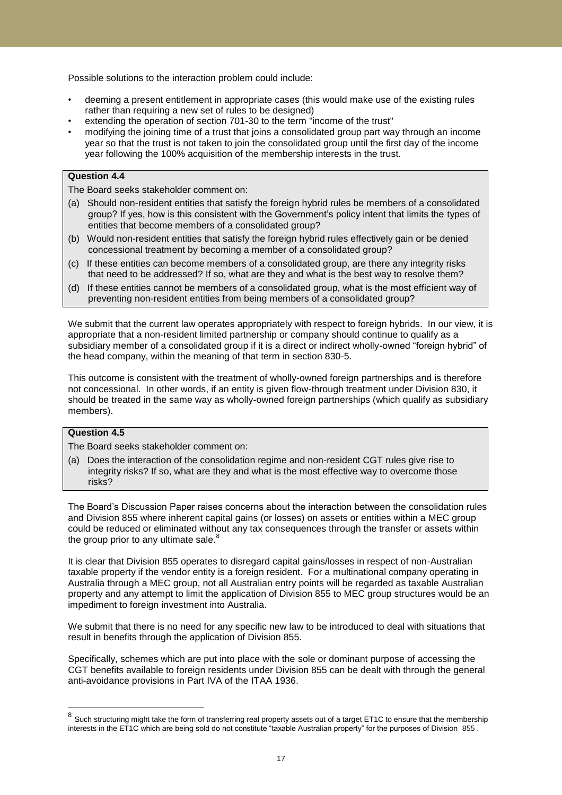Possible solutions to the interaction problem could include:

- deeming a present entitlement in appropriate cases (this would make use of the existing rules rather than requiring a new set of rules to be designed)
- extending the operation of section 701-30 to the term "income of the trust"
- modifying the joining time of a trust that joins a consolidated group part way through an income year so that the trust is not taken to join the consolidated group until the first day of the income year following the 100% acquisition of the membership interests in the trust.

### **Question 4.4**

The Board seeks stakeholder comment on:

- (a) Should non-resident entities that satisfy the foreign hybrid rules be members of a consolidated group? If yes, how is this consistent with the Government"s policy intent that limits the types of entities that become members of a consolidated group?
- (b) Would non-resident entities that satisfy the foreign hybrid rules effectively gain or be denied concessional treatment by becoming a member of a consolidated group?
- (c) If these entities can become members of a consolidated group, are there any integrity risks that need to be addressed? If so, what are they and what is the best way to resolve them?
- (d) If these entities cannot be members of a consolidated group, what is the most efficient way of preventing non-resident entities from being members of a consolidated group?

We submit that the current law operates appropriately with respect to foreign hybrids. In our view, it is appropriate that a non-resident limited partnership or company should continue to qualify as a subsidiary member of a consolidated group if it is a direct or indirect wholly-owned "foreign hybrid" of the head company, within the meaning of that term in section 830-5.

This outcome is consistent with the treatment of wholly-owned foreign partnerships and is therefore not concessional. In other words, if an entity is given flow-through treatment under Division 830, it should be treated in the same way as wholly-owned foreign partnerships (which qualify as subsidiary members).

## **Question 4.5**

The Board seeks stakeholder comment on:

(a) Does the interaction of the consolidation regime and non-resident CGT rules give rise to integrity risks? If so, what are they and what is the most effective way to overcome those risks?

The Board"s Discussion Paper raises concerns about the interaction between the consolidation rules and Division 855 where inherent capital gains (or losses) on assets or entities within a MEC group could be reduced or eliminated without any tax consequences through the transfer or assets within the group prior to any ultimate sale.<sup>8</sup>

It is clear that Division 855 operates to disregard capital gains/losses in respect of non-Australian taxable property if the vendor entity is a foreign resident. For a multinational company operating in Australia through a MEC group, not all Australian entry points will be regarded as taxable Australian property and any attempt to limit the application of Division 855 to MEC group structures would be an impediment to foreign investment into Australia.

We submit that there is no need for any specific new law to be introduced to deal with situations that result in benefits through the application of Division 855.

Specifically, schemes which are put into place with the sole or dominant purpose of accessing the CGT benefits available to foreign residents under Division 855 can be dealt with through the general anti-avoidance provisions in Part IVA of the ITAA 1936.

eral only the structuring might take the form of transferring real property assets out of a target ET1C to ensure that the membership<br><sup>8</sup> Such structuring might take the form of transferring real property assets out of a t interests in the ET1C which are being sold do not constitute "taxable Australian property" for the purposes of Division 855 .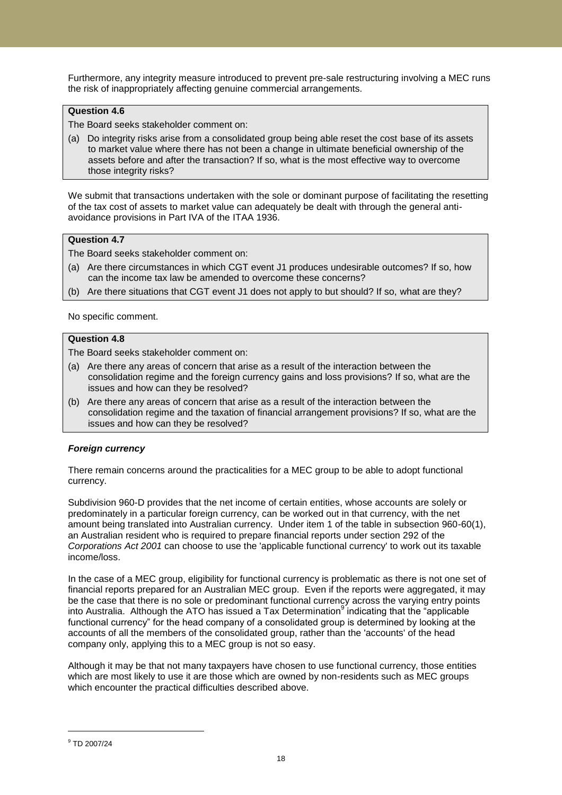Furthermore, any integrity measure introduced to prevent pre-sale restructuring involving a MEC runs the risk of inappropriately affecting genuine commercial arrangements.

## **Question 4.6**

The Board seeks stakeholder comment on:

(a) Do integrity risks arise from a consolidated group being able reset the cost base of its assets to market value where there has not been a change in ultimate beneficial ownership of the assets before and after the transaction? If so, what is the most effective way to overcome those integrity risks?

We submit that transactions undertaken with the sole or dominant purpose of facilitating the resetting of the tax cost of assets to market value can adequately be dealt with through the general antiavoidance provisions in Part IVA of the ITAA 1936.

## **Question 4.7**

The Board seeks stakeholder comment on:

- (a) Are there circumstances in which CGT event J1 produces undesirable outcomes? If so, how can the income tax law be amended to overcome these concerns?
- (b) Are there situations that CGT event J1 does not apply to but should? If so, what are they?

No specific comment.

## **Question 4.8**

The Board seeks stakeholder comment on:

- (a) Are there any areas of concern that arise as a result of the interaction between the consolidation regime and the foreign currency gains and loss provisions? If so, what are the issues and how can they be resolved?
- (b) Are there any areas of concern that arise as a result of the interaction between the consolidation regime and the taxation of financial arrangement provisions? If so, what are the issues and how can they be resolved?

## *Foreign currency*

There remain concerns around the practicalities for a MEC group to be able to adopt functional currency.

Subdivision 960-D provides that the net income of certain entities, whose accounts are solely or predominately in a particular foreign currency, can be worked out in that currency, with the net amount being translated into Australian currency. Under item 1 of the table in subsection 960-60(1), an Australian resident who is required to prepare financial reports under section 292 of the *Corporations Act 2001* can choose to use the 'applicable functional currency' to work out its taxable income/loss.

In the case of a MEC group, eligibility for functional currency is problematic as there is not one set of financial reports prepared for an Australian MEC group. Even if the reports were aggregated, it may be the case that there is no sole or predominant functional currency across the varying entry points into Australia. Although the ATO has issued a Tax Determination<sup>9</sup> indicating that the "applicable functional currency" for the head company of a consolidated group is determined by looking at the accounts of all the members of the consolidated group, rather than the 'accounts' of the head company only, applying this to a MEC group is not so easy.

Although it may be that not many taxpayers have chosen to use functional currency, those entities which are most likely to use it are those which are owned by non-residents such as MEC groups which encounter the practical difficulties described above.

 $\overline{a}$ 

<sup>9</sup> TD 2007/24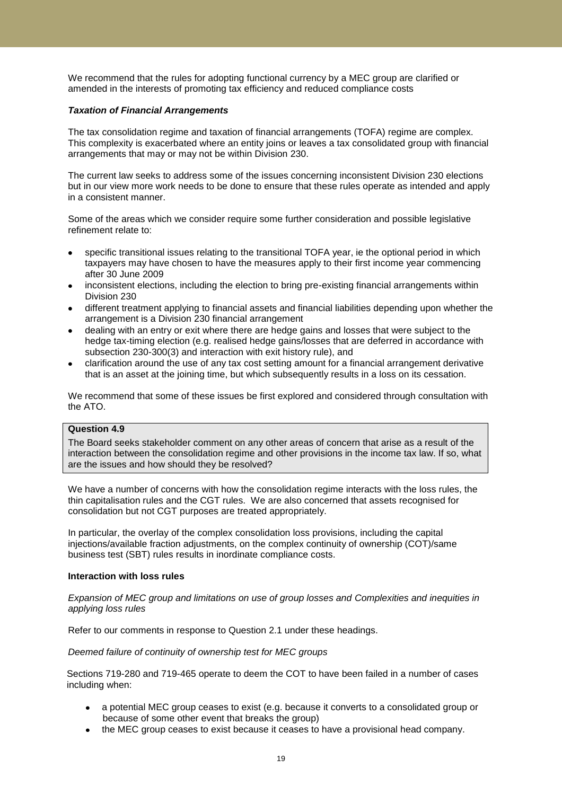We recommend that the rules for adopting functional currency by a MEC group are clarified or amended in the interests of promoting tax efficiency and reduced compliance costs

#### *Taxation of Financial Arrangements*

The tax consolidation regime and taxation of financial arrangements (TOFA) regime are complex. This complexity is exacerbated where an entity joins or leaves a tax consolidated group with financial arrangements that may or may not be within Division 230.

The current law seeks to address some of the issues concerning inconsistent Division 230 elections but in our view more work needs to be done to ensure that these rules operate as intended and apply in a consistent manner.

Some of the areas which we consider require some further consideration and possible legislative refinement relate to:

- specific transitional issues relating to the transitional TOFA year, ie the optional period in which taxpayers may have chosen to have the measures apply to their first income year commencing after 30 June 2009
- inconsistent elections, including the election to bring pre-existing financial arrangements within Division 230
- different treatment applying to financial assets and financial liabilities depending upon whether the arrangement is a Division 230 financial arrangement
- dealing with an entry or exit where there are hedge gains and losses that were subject to the hedge tax-timing election (e.g. realised hedge gains/losses that are deferred in accordance with subsection 230-300(3) and interaction with exit history rule), and
- clarification around the use of any tax cost setting amount for a financial arrangement derivative that is an asset at the joining time, but which subsequently results in a loss on its cessation.

We recommend that some of these issues be first explored and considered through consultation with the ATO.

## **Question 4.9**

The Board seeks stakeholder comment on any other areas of concern that arise as a result of the interaction between the consolidation regime and other provisions in the income tax law. If so, what are the issues and how should they be resolved?

We have a number of concerns with how the consolidation regime interacts with the loss rules, the thin capitalisation rules and the CGT rules. We are also concerned that assets recognised for consolidation but not CGT purposes are treated appropriately.

In particular, the overlay of the complex consolidation loss provisions, including the capital injections/available fraction adjustments, on the complex continuity of ownership (COT)/same business test (SBT) rules results in inordinate compliance costs.

#### **Interaction with loss rules**

*Expansion of MEC group and limitations on use of group losses and Complexities and inequities in applying loss rules*

Refer to our comments in response to Question 2.1 under these headings.

*Deemed failure of continuity of ownership test for MEC groups*

Sections 719-280 and 719-465 operate to deem the COT to have been failed in a number of cases including when:

- a potential MEC group ceases to exist (e.g. because it converts to a consolidated group or because of some other event that breaks the group)
- the MEC group ceases to exist because it ceases to have a provisional head company.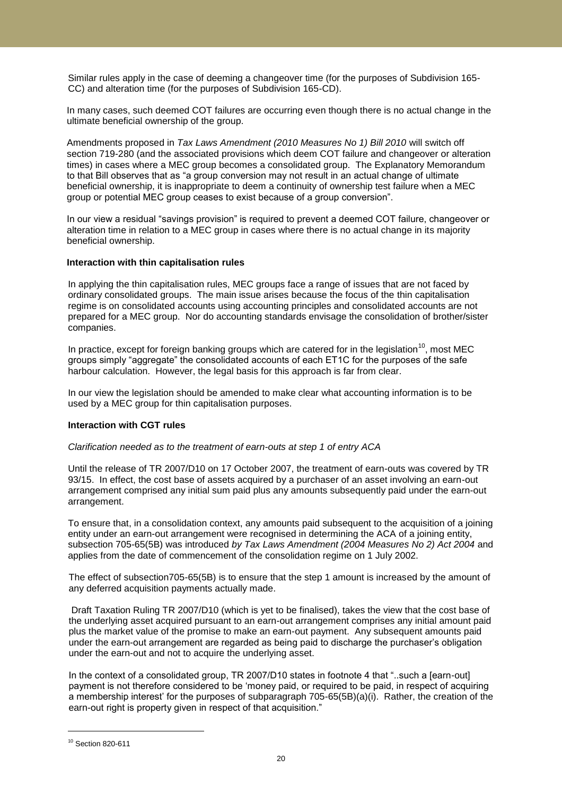Similar rules apply in the case of deeming a changeover time (for the purposes of Subdivision 165- CC) and alteration time (for the purposes of Subdivision 165-CD).

In many cases, such deemed COT failures are occurring even though there is no actual change in the ultimate beneficial ownership of the group.

Amendments proposed in *Tax Laws Amendment (2010 Measures No 1) Bill 2010* will switch off section 719-280 (and the associated provisions which deem COT failure and changeover or alteration times) in cases where a MEC group becomes a consolidated group. The Explanatory Memorandum to that Bill observes that as "a group conversion may not result in an actual change of ultimate beneficial ownership, it is inappropriate to deem a continuity of ownership test failure when a MEC group or potential MEC group ceases to exist because of a group conversion".

In our view a residual "savings provision" is required to prevent a deemed COT failure, changeover or alteration time in relation to a MEC group in cases where there is no actual change in its majority beneficial ownership.

#### **Interaction with thin capitalisation rules**

In applying the thin capitalisation rules, MEC groups face a range of issues that are not faced by ordinary consolidated groups. The main issue arises because the focus of the thin capitalisation regime is on consolidated accounts using accounting principles and consolidated accounts are not prepared for a MEC group. Nor do accounting standards envisage the consolidation of brother/sister companies.

In practice, except for foreign banking groups which are catered for in the legislation<sup>10</sup>, most MEC groups simply "aggregate" the consolidated accounts of each ET1C for the purposes of the safe harbour calculation. However, the legal basis for this approach is far from clear.

In our view the legislation should be amended to make clear what accounting information is to be used by a MEC group for thin capitalisation purposes.

## **Interaction with CGT rules**

#### *Clarification needed as to the treatment of earn-outs at step 1 of entry ACA*

Until the release of TR 2007/D10 on 17 October 2007, the treatment of earn-outs was covered by TR 93/15. In effect, the cost base of assets acquired by a purchaser of an asset involving an earn-out arrangement comprised any initial sum paid plus any amounts subsequently paid under the earn-out arrangement.

To ensure that, in a consolidation context, any amounts paid subsequent to the acquisition of a joining entity under an earn-out arrangement were recognised in determining the ACA of a joining entity, subsection 705-65(5B) was introduced *by Tax Laws Amendment (2004 Measures No 2) Act 2004* and applies from the date of commencement of the consolidation regime on 1 July 2002.

The effect of subsection705-65(5B) is to ensure that the step 1 amount is increased by the amount of any deferred acquisition payments actually made.

Draft Taxation Ruling TR 2007/D10 (which is yet to be finalised), takes the view that the cost base of the underlying asset acquired pursuant to an earn-out arrangement comprises any initial amount paid plus the market value of the promise to make an earn-out payment. Any subsequent amounts paid under the earn-out arrangement are regarded as being paid to discharge the purchaser"s obligation under the earn-out and not to acquire the underlying asset.

In the context of a consolidated group, TR 2007/D10 states in footnote 4 that "..such a [earn-out] payment is not therefore considered to be "money paid, or required to be paid, in respect of acquiring a membership interest" for the purposes of subparagraph 705-65(5B)(a)(i). Rather, the creation of the earn-out right is property given in respect of that acquisition."

 $\overline{a}$ 

<sup>10</sup> Section 820-611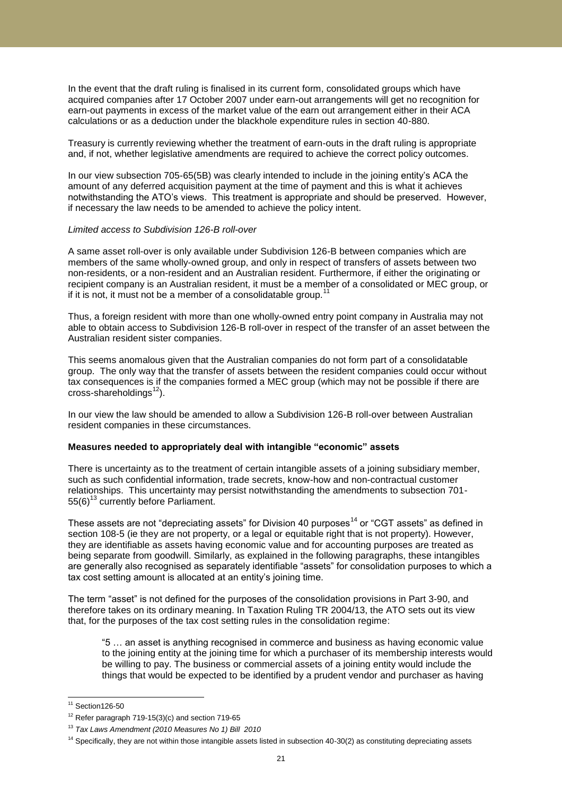In the event that the draft ruling is finalised in its current form, consolidated groups which have acquired companies after 17 October 2007 under earn-out arrangements will get no recognition for earn-out payments in excess of the market value of the earn out arrangement either in their ACA calculations or as a deduction under the blackhole expenditure rules in section 40-880.

Treasury is currently reviewing whether the treatment of earn-outs in the draft ruling is appropriate and, if not, whether legislative amendments are required to achieve the correct policy outcomes.

In our view subsection 705-65(5B) was clearly intended to include in the joining entity"s ACA the amount of any deferred acquisition payment at the time of payment and this is what it achieves notwithstanding the ATO"s views. This treatment is appropriate and should be preserved. However, if necessary the law needs to be amended to achieve the policy intent.

#### *Limited access to Subdivision 126-B roll-over*

A same asset roll-over is only available under Subdivision 126-B between companies which are members of the same wholly-owned group, and only in respect of transfers of assets between two non-residents, or a non-resident and an Australian resident. Furthermore, if either the originating or recipient company is an Australian resident, it must be a member of a consolidated or MEC group, or if it is not, it must not be a member of a consolidatable group.<sup>11</sup>

Thus, a foreign resident with more than one wholly-owned entry point company in Australia may not able to obtain access to Subdivision 126-B roll-over in respect of the transfer of an asset between the Australian resident sister companies.

This seems anomalous given that the Australian companies do not form part of a consolidatable group. The only way that the transfer of assets between the resident companies could occur without tax consequences is if the companies formed a MEC group (which may not be possible if there are cross-shareholdings $^{12}$ ).

In our view the law should be amended to allow a Subdivision 126-B roll-over between Australian resident companies in these circumstances.

#### **Measures needed to appropriately deal with intangible "economic" assets**

There is uncertainty as to the treatment of certain intangible assets of a joining subsidiary member, such as such confidential information, trade secrets, know-how and non-contractual customer relationships. This uncertainty may persist notwithstanding the amendments to subsection 701-  $55(6)^{13}$  currently before Parliament.

These assets are not "depreciating assets" for Division 40 purposes<sup>14</sup> or "CGT assets" as defined in section 108-5 (ie they are not property, or a legal or equitable right that is not property). However, they are identifiable as assets having economic value and for accounting purposes are treated as being separate from goodwill. Similarly, as explained in the following paragraphs, these intangibles are generally also recognised as separately identifiable "assets" for consolidation purposes to which a tax cost setting amount is allocated at an entity's joining time.

The term "asset" is not defined for the purposes of the consolidation provisions in Part 3-90, and therefore takes on its ordinary meaning. In Taxation Ruling TR 2004/13, the ATO sets out its view that, for the purposes of the tax cost setting rules in the consolidation regime:

"5 … an asset is anything recognised in commerce and business as having economic value to the joining entity at the joining time for which a purchaser of its membership interests would be willing to pay. The business or commercial assets of a joining entity would include the things that would be expected to be identified by a prudent vendor and purchaser as having

l  $11$  Section 126-50

 $12$  Refer paragraph 719-15(3)(c) and section 719-65

<sup>13</sup> *Tax Laws Amendment (2010 Measures No 1) Bill 2010*

<sup>&</sup>lt;sup>14</sup> Specifically, they are not within those intangible assets listed in subsection 40-30(2) as constituting depreciating assets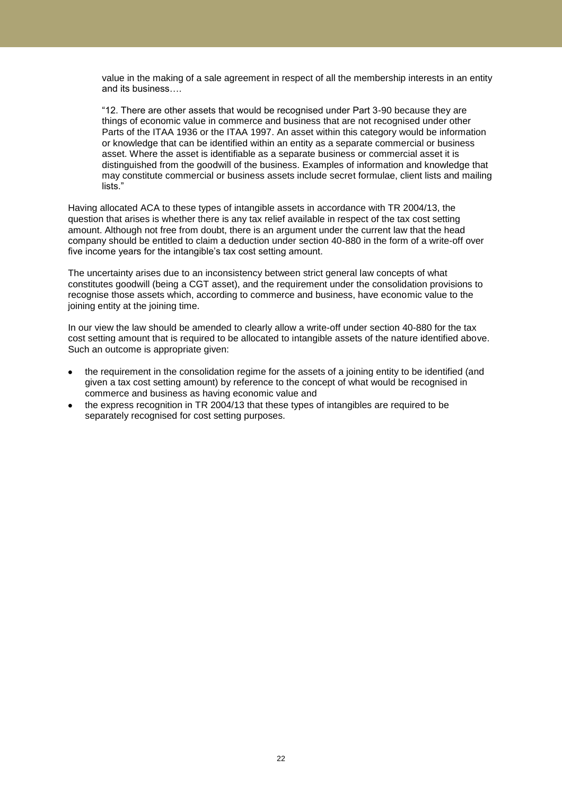value in the making of a sale agreement in respect of all the membership interests in an entity and its business….

"12. There are other assets that would be recognised under Part 3-90 because they are things of economic value in commerce and business that are not recognised under other Parts of the ITAA 1936 or the ITAA 1997. An asset within this category would be information or knowledge that can be identified within an entity as a separate commercial or business asset. Where the asset is identifiable as a separate business or commercial asset it is distinguished from the goodwill of the business. Examples of information and knowledge that may constitute commercial or business assets include secret formulae, client lists and mailing lists."

Having allocated ACA to these types of intangible assets in accordance with TR 2004/13, the question that arises is whether there is any tax relief available in respect of the tax cost setting amount. Although not free from doubt, there is an argument under the current law that the head company should be entitled to claim a deduction under section 40-880 in the form of a write-off over five income years for the intangible's tax cost setting amount.

The uncertainty arises due to an inconsistency between strict general law concepts of what constitutes goodwill (being a CGT asset), and the requirement under the consolidation provisions to recognise those assets which, according to commerce and business, have economic value to the joining entity at the joining time.

In our view the law should be amended to clearly allow a write-off under section 40-880 for the tax cost setting amount that is required to be allocated to intangible assets of the nature identified above. Such an outcome is appropriate given:

- the requirement in the consolidation regime for the assets of a joining entity to be identified (and given a tax cost setting amount) by reference to the concept of what would be recognised in commerce and business as having economic value and
- the express recognition in TR 2004/13 that these types of intangibles are required to be separately recognised for cost setting purposes.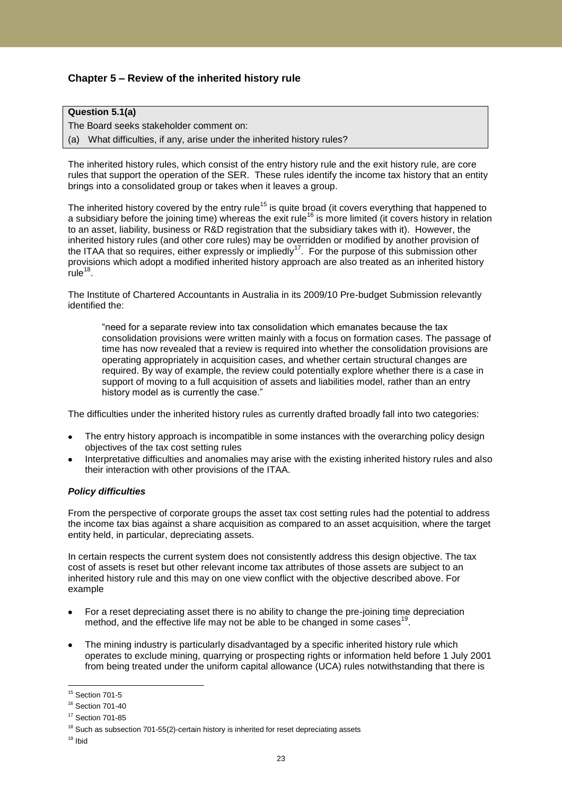## **Chapter 5 – Review of the inherited history rule**

## **Question 5.1(a)**

The Board seeks stakeholder comment on:

(a) What difficulties, if any, arise under the inherited history rules?

The inherited history rules, which consist of the entry history rule and the exit history rule, are core rules that support the operation of the SER. These rules identify the income tax history that an entity brings into a consolidated group or takes when it leaves a group.

The inherited history covered by the entry rule<sup>15</sup> is quite broad (it covers everything that happened to a subsidiary before the joining time) whereas the exit rule<sup>16</sup> is more limited (it covers history in relation to an asset, liability, business or R&D registration that the subsidiary takes with it). However, the inherited history rules (and other core rules) may be overridden or modified by another provision of the ITAA that so requires, either expressly or impliedly<sup>17</sup>. For the purpose of this submission other provisions which adopt a modified inherited history approach are also treated as an inherited history  $rule^{18}$ .

The Institute of Chartered Accountants in Australia in its 2009/10 Pre-budget Submission relevantly identified the:

"need for a separate review into tax consolidation which emanates because the tax consolidation provisions were written mainly with a focus on formation cases. The passage of time has now revealed that a review is required into whether the consolidation provisions are operating appropriately in acquisition cases, and whether certain structural changes are required. By way of example, the review could potentially explore whether there is a case in support of moving to a full acquisition of assets and liabilities model, rather than an entry history model as is currently the case."

The difficulties under the inherited history rules as currently drafted broadly fall into two categories:

- The entry history approach is incompatible in some instances with the overarching policy design objectives of the tax cost setting rules
- Interpretative difficulties and anomalies may arise with the existing inherited history rules and also their interaction with other provisions of the ITAA.

## *Policy difficulties*

From the perspective of corporate groups the asset tax cost setting rules had the potential to address the income tax bias against a share acquisition as compared to an asset acquisition, where the target entity held, in particular, depreciating assets.

In certain respects the current system does not consistently address this design objective. The tax cost of assets is reset but other relevant income tax attributes of those assets are subject to an inherited history rule and this may on one view conflict with the objective described above. For example

- For a reset depreciating asset there is no ability to change the pre-joining time depreciation method, and the effective life may not be able to be changed in some cases<sup>19</sup>.
- The mining industry is particularly disadvantaged by a specific inherited history rule which operates to exclude mining, quarrying or prospecting rights or information held before 1 July 2001 from being treated under the uniform capital allowance (UCA) rules notwithstanding that there is

 $\overline{a}$ <sup>15</sup> Section 701-5

<sup>16</sup> Section 701-40

<sup>&</sup>lt;sup>17</sup> Section 701-85

 $18$  Such as subsection 701-55(2)-certain history is inherited for reset depreciating assets

 $19$  Ibid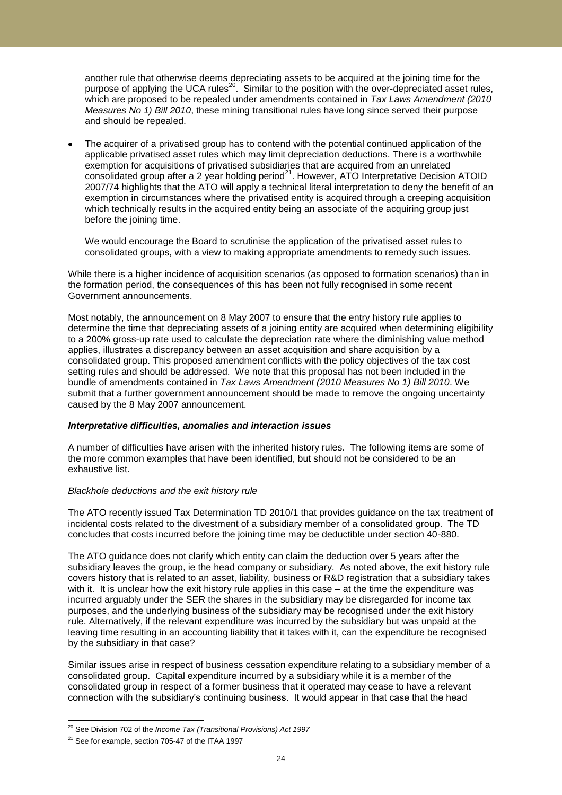another rule that otherwise deems depreciating assets to be acquired at the joining time for the purpose of applying the UCA rules<sup>20</sup>. Similar to the position with the over-depreciated asset rules, which are proposed to be repealed under amendments contained in *Tax Laws Amendment (2010 Measures No 1) Bill 2010*, these mining transitional rules have long since served their purpose and should be repealed.

The acquirer of a privatised group has to contend with the potential continued application of the applicable privatised asset rules which may limit depreciation deductions. There is a worthwhile exemption for acquisitions of privatised subsidiaries that are acquired from an unrelated consolidated group after a 2 year holding period $^{21}$ . However, ATO Interpretative Decision ATOID 2007/74 highlights that the ATO will apply a technical literal interpretation to deny the benefit of an exemption in circumstances where the privatised entity is acquired through a creeping acquisition which technically results in the acquired entity being an associate of the acquiring group just before the joining time.

We would encourage the Board to scrutinise the application of the privatised asset rules to consolidated groups, with a view to making appropriate amendments to remedy such issues.

While there is a higher incidence of acquisition scenarios (as opposed to formation scenarios) than in the formation period, the consequences of this has been not fully recognised in some recent Government announcements.

Most notably, the announcement on 8 May 2007 to ensure that the entry history rule applies to determine the time that depreciating assets of a joining entity are acquired when determining eligibility to a 200% gross-up rate used to calculate the depreciation rate where the diminishing value method applies, illustrates a discrepancy between an asset acquisition and share acquisition by a consolidated group. This proposed amendment conflicts with the policy objectives of the tax cost setting rules and should be addressed. We note that this proposal has not been included in the bundle of amendments contained in *Tax Laws Amendment (2010 Measures No 1) Bill 2010*. We submit that a further government announcement should be made to remove the ongoing uncertainty caused by the 8 May 2007 announcement.

#### *Interpretative difficulties, anomalies and interaction issues*

A number of difficulties have arisen with the inherited history rules. The following items are some of the more common examples that have been identified, but should not be considered to be an exhaustive list.

#### *Blackhole deductions and the exit history rule*

The ATO recently issued Tax Determination TD 2010/1 that provides guidance on the tax treatment of incidental costs related to the divestment of a subsidiary member of a consolidated group. The TD concludes that costs incurred before the joining time may be deductible under section 40-880.

The ATO guidance does not clarify which entity can claim the deduction over 5 years after the subsidiary leaves the group, ie the head company or subsidiary. As noted above, the exit history rule covers history that is related to an asset, liability, business or R&D registration that a subsidiary takes with it. It is unclear how the exit history rule applies in this case – at the time the expenditure was incurred arguably under the SER the shares in the subsidiary may be disregarded for income tax purposes, and the underlying business of the subsidiary may be recognised under the exit history rule. Alternatively, if the relevant expenditure was incurred by the subsidiary but was unpaid at the leaving time resulting in an accounting liability that it takes with it, can the expenditure be recognised by the subsidiary in that case?

Similar issues arise in respect of business cessation expenditure relating to a subsidiary member of a consolidated group. Capital expenditure incurred by a subsidiary while it is a member of the consolidated group in respect of a former business that it operated may cease to have a relevant connection with the subsidiary"s continuing business. It would appear in that case that the head

l <sup>20</sup> See Division 702 of the *Income Tax (Transitional Provisions) Act 1997*

 $21$  See for example, section 705-47 of the ITAA 1997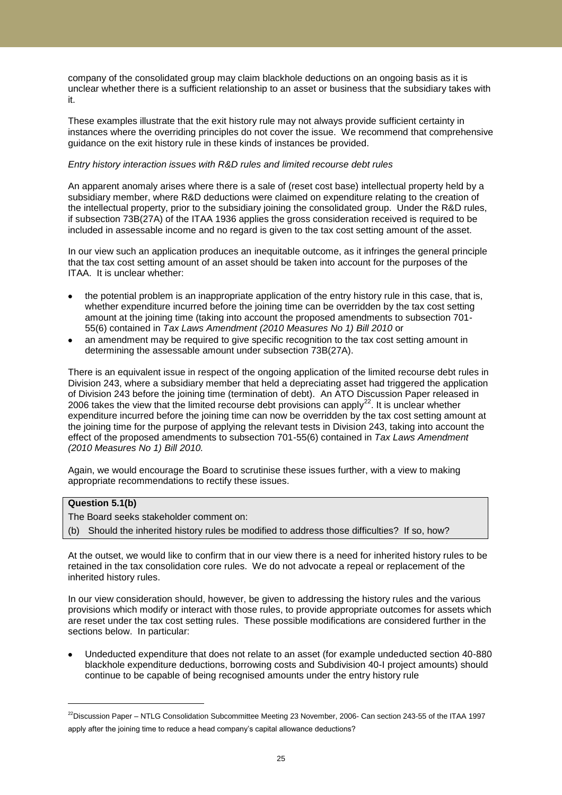company of the consolidated group may claim blackhole deductions on an ongoing basis as it is unclear whether there is a sufficient relationship to an asset or business that the subsidiary takes with it.

These examples illustrate that the exit history rule may not always provide sufficient certainty in instances where the overriding principles do not cover the issue. We recommend that comprehensive guidance on the exit history rule in these kinds of instances be provided.

#### *Entry history interaction issues with R&D rules and limited recourse debt rules*

An apparent anomaly arises where there is a sale of (reset cost base) intellectual property held by a subsidiary member, where R&D deductions were claimed on expenditure relating to the creation of the intellectual property, prior to the subsidiary joining the consolidated group. Under the R&D rules, if subsection 73B(27A) of the ITAA 1936 applies the gross consideration received is required to be included in assessable income and no regard is given to the tax cost setting amount of the asset.

In our view such an application produces an inequitable outcome, as it infringes the general principle that the tax cost setting amount of an asset should be taken into account for the purposes of the ITAA. It is unclear whether:

- the potential problem is an inappropriate application of the entry history rule in this case, that is, whether expenditure incurred before the joining time can be overridden by the tax cost setting amount at the joining time (taking into account the proposed amendments to subsection 701- 55(6) contained in *Tax Laws Amendment (2010 Measures No 1) Bill 2010* or
- an amendment may be required to give specific recognition to the tax cost setting amount in determining the assessable amount under subsection 73B(27A).

There is an equivalent issue in respect of the ongoing application of the limited recourse debt rules in Division 243, where a subsidiary member that held a depreciating asset had triggered the application of Division 243 before the joining time (termination of debt). An ATO Discussion Paper released in 2006 takes the view that the limited recourse debt provisions can apply<sup>22</sup>. It is unclear whether expenditure incurred before the joining time can now be overridden by the tax cost setting amount at the joining time for the purpose of applying the relevant tests in Division 243, taking into account the effect of the proposed amendments to subsection 701-55(6) contained in *Tax Laws Amendment (2010 Measures No 1) Bill 2010.* 

Again, we would encourage the Board to scrutinise these issues further, with a view to making appropriate recommendations to rectify these issues.

### **Question 5.1(b)**

l

The Board seeks stakeholder comment on:

(b) Should the inherited history rules be modified to address those difficulties? If so, how?

At the outset, we would like to confirm that in our view there is a need for inherited history rules to be retained in the tax consolidation core rules. We do not advocate a repeal or replacement of the inherited history rules.

In our view consideration should, however, be given to addressing the history rules and the various provisions which modify or interact with those rules, to provide appropriate outcomes for assets which are reset under the tax cost setting rules. These possible modifications are considered further in the sections below. In particular:

Undeducted expenditure that does not relate to an asset (for example undeducted section 40-880 blackhole expenditure deductions, borrowing costs and Subdivision 40-I project amounts) should continue to be capable of being recognised amounts under the entry history rule

 $^{22}$ Discussion Paper – NTLG Consolidation Subcommittee Meeting 23 November, 2006- Can section 243-55 of the ITAA 1997 apply after the joining time to reduce a head company's capital allowance deductions?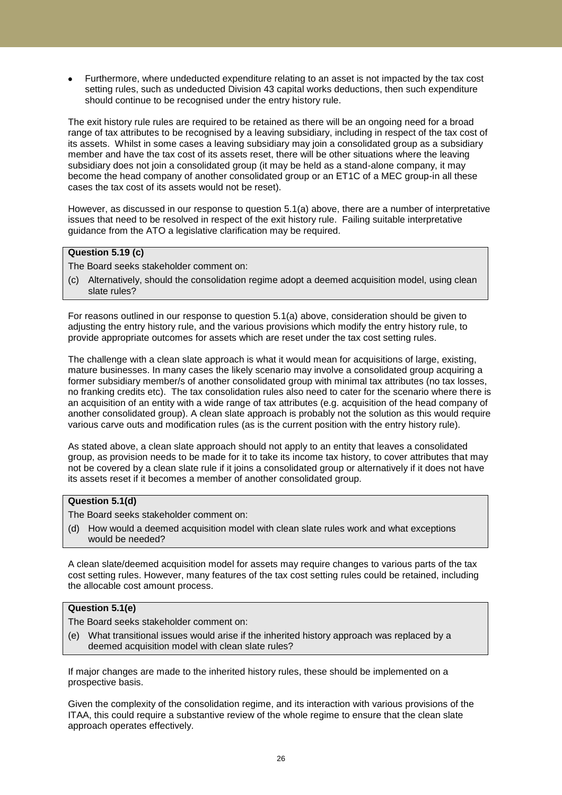Furthermore, where undeducted expenditure relating to an asset is not impacted by the tax cost setting rules, such as undeducted Division 43 capital works deductions, then such expenditure should continue to be recognised under the entry history rule.

The exit history rule rules are required to be retained as there will be an ongoing need for a broad range of tax attributes to be recognised by a leaving subsidiary, including in respect of the tax cost of its assets. Whilst in some cases a leaving subsidiary may join a consolidated group as a subsidiary member and have the tax cost of its assets reset, there will be other situations where the leaving subsidiary does not join a consolidated group (it may be held as a stand-alone company, it may become the head company of another consolidated group or an ET1C of a MEC group-in all these cases the tax cost of its assets would not be reset).

However, as discussed in our response to question 5.1(a) above, there are a number of interpretative issues that need to be resolved in respect of the exit history rule. Failing suitable interpretative guidance from the ATO a legislative clarification may be required.

## **Question 5.19 (c)**

- The Board seeks stakeholder comment on:
- (c) Alternatively, should the consolidation regime adopt a deemed acquisition model, using clean slate rules?

For reasons outlined in our response to question 5.1(a) above, consideration should be given to adjusting the entry history rule, and the various provisions which modify the entry history rule, to provide appropriate outcomes for assets which are reset under the tax cost setting rules.

The challenge with a clean slate approach is what it would mean for acquisitions of large, existing, mature businesses. In many cases the likely scenario may involve a consolidated group acquiring a former subsidiary member/s of another consolidated group with minimal tax attributes (no tax losses, no franking credits etc). The tax consolidation rules also need to cater for the scenario where there is an acquisition of an entity with a wide range of tax attributes (e.g. acquisition of the head company of another consolidated group). A clean slate approach is probably not the solution as this would require various carve outs and modification rules (as is the current position with the entry history rule).

As stated above, a clean slate approach should not apply to an entity that leaves a consolidated group, as provision needs to be made for it to take its income tax history, to cover attributes that may not be covered by a clean slate rule if it joins a consolidated group or alternatively if it does not have its assets reset if it becomes a member of another consolidated group.

## **Question 5.1(d)**

- The Board seeks stakeholder comment on:
- (d) How would a deemed acquisition model with clean slate rules work and what exceptions would be needed?

A clean slate/deemed acquisition model for assets may require changes to various parts of the tax cost setting rules. However, many features of the tax cost setting rules could be retained, including the allocable cost amount process.

## **Question 5.1(e)**

The Board seeks stakeholder comment on:

(e) What transitional issues would arise if the inherited history approach was replaced by a deemed acquisition model with clean slate rules?

If major changes are made to the inherited history rules, these should be implemented on a prospective basis.

Given the complexity of the consolidation regime, and its interaction with various provisions of the ITAA, this could require a substantive review of the whole regime to ensure that the clean slate approach operates effectively.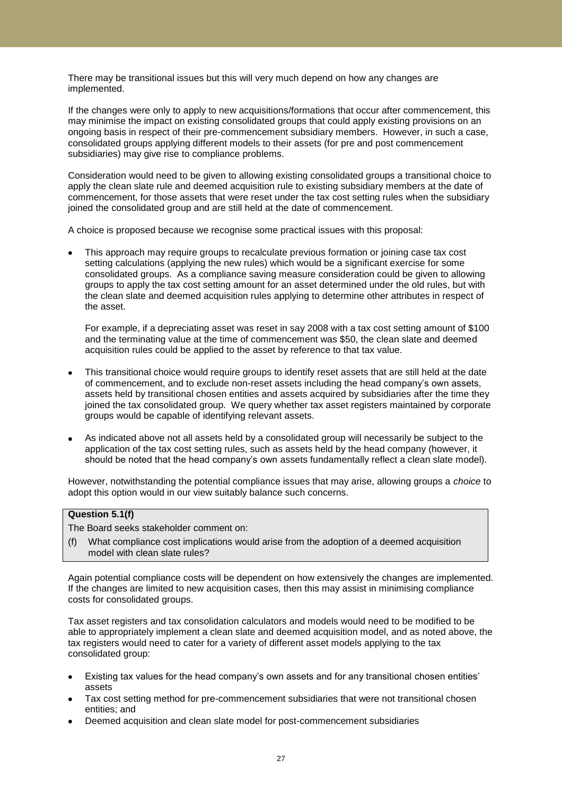There may be transitional issues but this will very much depend on how any changes are implemented.

If the changes were only to apply to new acquisitions/formations that occur after commencement, this may minimise the impact on existing consolidated groups that could apply existing provisions on an ongoing basis in respect of their pre-commencement subsidiary members. However, in such a case, consolidated groups applying different models to their assets (for pre and post commencement subsidiaries) may give rise to compliance problems.

Consideration would need to be given to allowing existing consolidated groups a transitional choice to apply the clean slate rule and deemed acquisition rule to existing subsidiary members at the date of commencement, for those assets that were reset under the tax cost setting rules when the subsidiary joined the consolidated group and are still held at the date of commencement.

A choice is proposed because we recognise some practical issues with this proposal:

This approach may require groups to recalculate previous formation or joining case tax cost setting calculations (applying the new rules) which would be a significant exercise for some consolidated groups. As a compliance saving measure consideration could be given to allowing groups to apply the tax cost setting amount for an asset determined under the old rules, but with the clean slate and deemed acquisition rules applying to determine other attributes in respect of the asset.

For example, if a depreciating asset was reset in say 2008 with a tax cost setting amount of \$100 and the terminating value at the time of commencement was \$50, the clean slate and deemed acquisition rules could be applied to the asset by reference to that tax value.

- This transitional choice would require groups to identify reset assets that are still held at the date of commencement, and to exclude non-reset assets including the head company"s own assets, assets held by transitional chosen entities and assets acquired by subsidiaries after the time they joined the tax consolidated group. We query whether tax asset registers maintained by corporate groups would be capable of identifying relevant assets.
- As indicated above not all assets held by a consolidated group will necessarily be subject to the application of the tax cost setting rules, such as assets held by the head company (however, it should be noted that the head company's own assets fundamentally reflect a clean slate model).

However, notwithstanding the potential compliance issues that may arise, allowing groups a *choice* to adopt this option would in our view suitably balance such concerns.

## **Question 5.1(f)**

- The Board seeks stakeholder comment on:
- (f) What compliance cost implications would arise from the adoption of a deemed acquisition model with clean slate rules?

Again potential compliance costs will be dependent on how extensively the changes are implemented. If the changes are limited to new acquisition cases, then this may assist in minimising compliance costs for consolidated groups.

Tax asset registers and tax consolidation calculators and models would need to be modified to be able to appropriately implement a clean slate and deemed acquisition model, and as noted above, the tax registers would need to cater for a variety of different asset models applying to the tax consolidated group:

- Existing tax values for the head company's own assets and for any transitional chosen entities' assets
- Tax cost setting method for pre-commencement subsidiaries that were not transitional chosen entities; and
- Deemed acquisition and clean slate model for post-commencement subsidiaries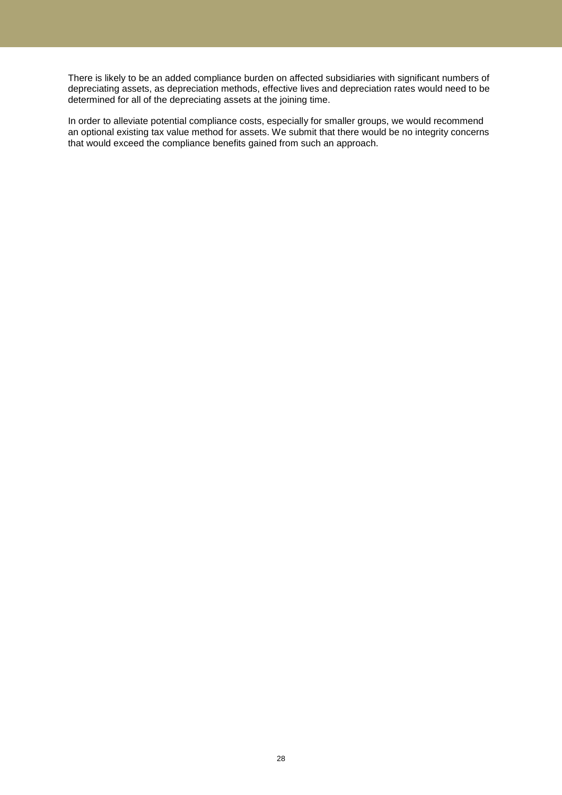There is likely to be an added compliance burden on affected subsidiaries with significant numbers of depreciating assets, as depreciation methods, effective lives and depreciation rates would need to be determined for all of the depreciating assets at the joining time.

In order to alleviate potential compliance costs, especially for smaller groups, we would recommend an optional existing tax value method for assets. We submit that there would be no integrity concerns that would exceed the compliance benefits gained from such an approach.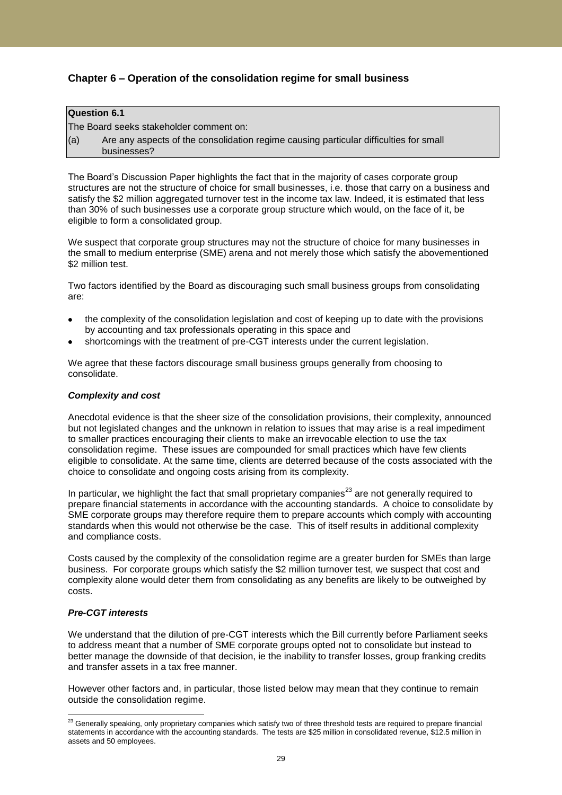## **Chapter 6 – Operation of the consolidation regime for small business**

## **Question 6.1**

The Board seeks stakeholder comment on:

(a) Are any aspects of the consolidation regime causing particular difficulties for small businesses?

The Board"s Discussion Paper highlights the fact that in the majority of cases corporate group structures are not the structure of choice for small businesses, i.e. those that carry on a business and satisfy the \$2 million aggregated turnover test in the income tax law. Indeed, it is estimated that less than 30% of such businesses use a corporate group structure which would, on the face of it, be eligible to form a consolidated group.

We suspect that corporate group structures may not the structure of choice for many businesses in the small to medium enterprise (SME) arena and not merely those which satisfy the abovementioned \$2 million test.

Two factors identified by the Board as discouraging such small business groups from consolidating are:

- the complexity of the consolidation legislation and cost of keeping up to date with the provisions by accounting and tax professionals operating in this space and
- shortcomings with the treatment of pre-CGT interests under the current legislation.

We agree that these factors discourage small business groups generally from choosing to consolidate.

### *Complexity and cost*

Anecdotal evidence is that the sheer size of the consolidation provisions, their complexity, announced but not legislated changes and the unknown in relation to issues that may arise is a real impediment to smaller practices encouraging their clients to make an irrevocable election to use the tax consolidation regime. These issues are compounded for small practices which have few clients eligible to consolidate. At the same time, clients are deterred because of the costs associated with the choice to consolidate and ongoing costs arising from its complexity.

In particular, we highlight the fact that small proprietary companies<sup>23</sup> are not generally required to prepare financial statements in accordance with the accounting standards. A choice to consolidate by SME corporate groups may therefore require them to prepare accounts which comply with accounting standards when this would not otherwise be the case. This of itself results in additional complexity and compliance costs.

Costs caused by the complexity of the consolidation regime are a greater burden for SMEs than large business. For corporate groups which satisfy the \$2 million turnover test, we suspect that cost and complexity alone would deter them from consolidating as any benefits are likely to be outweighed by costs.

## *Pre-CGT interests*

We understand that the dilution of pre-CGT interests which the Bill currently before Parliament seeks to address meant that a number of SME corporate groups opted not to consolidate but instead to better manage the downside of that decision, ie the inability to transfer losses, group franking credits and transfer assets in a tax free manner.

However other factors and, in particular, those listed below may mean that they continue to remain outside the consolidation regime.

 $\overline{a}$  $^{23}$  Generally speaking, only proprietary companies which satisfy two of three threshold tests are required to prepare financial statements in accordance with the accounting standards. The tests are \$25 million in consolidated revenue, \$12.5 million in assets and 50 employees.